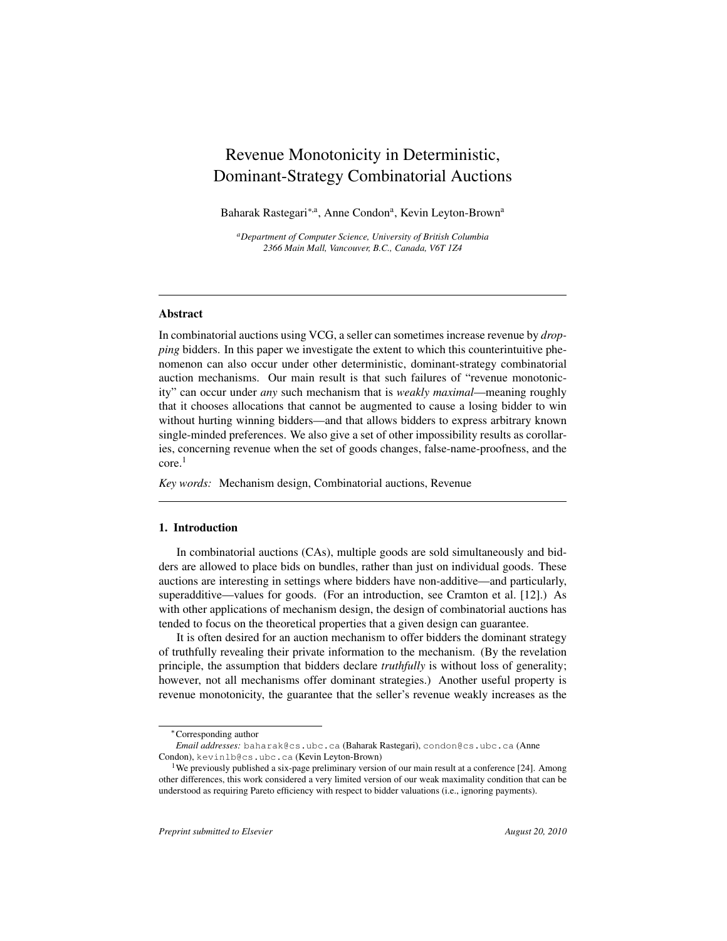# Revenue Monotonicity in Deterministic, Dominant-Strategy Combinatorial Auctions

Baharak Rastegari<sup>∗,a</sup>, Anne Condon<sup>a</sup>, Kevin Leyton-Brown<sup>a</sup>

*<sup>a</sup>Department of Computer Science, University of British Columbia 2366 Main Mall, Vancouver, B.C., Canada, V6T 1Z4*

#### Abstract

In combinatorial auctions using VCG, a seller can sometimes increase revenue by *dropping* bidders. In this paper we investigate the extent to which this counterintuitive phenomenon can also occur under other deterministic, dominant-strategy combinatorial auction mechanisms. Our main result is that such failures of "revenue monotonicity" can occur under *any* such mechanism that is *weakly maximal*—meaning roughly that it chooses allocations that cannot be augmented to cause a losing bidder to win without hurting winning bidders—and that allows bidders to express arbitrary known single-minded preferences. We also give a set of other impossibility results as corollaries, concerning revenue when the set of goods changes, false-name-proofness, and the core.<sup>1</sup>

*Key words:* Mechanism design, Combinatorial auctions, Revenue

# 1. Introduction

In combinatorial auctions (CAs), multiple goods are sold simultaneously and bidders are allowed to place bids on bundles, rather than just on individual goods. These auctions are interesting in settings where bidders have non-additive—and particularly, superadditive—values for goods. (For an introduction, see Cramton et al. [12].) As with other applications of mechanism design, the design of combinatorial auctions has tended to focus on the theoretical properties that a given design can guarantee.

It is often desired for an auction mechanism to offer bidders the dominant strategy of truthfully revealing their private information to the mechanism. (By the revelation principle, the assumption that bidders declare *truthfully* is without loss of generality; however, not all mechanisms offer dominant strategies.) Another useful property is revenue monotonicity, the guarantee that the seller's revenue weakly increases as the

<sup>∗</sup>Corresponding author

*Email addresses:* baharak@cs.ubc.ca (Baharak Rastegari), condon@cs.ubc.ca (Anne Condon), kevinlb@cs.ubc.ca (Kevin Leyton-Brown)

<sup>&</sup>lt;sup>1</sup>We previously published a six-page preliminary version of our main result at a conference [24]. Among other differences, this work considered a very limited version of our weak maximality condition that can be understood as requiring Pareto efficiency with respect to bidder valuations (i.e., ignoring payments).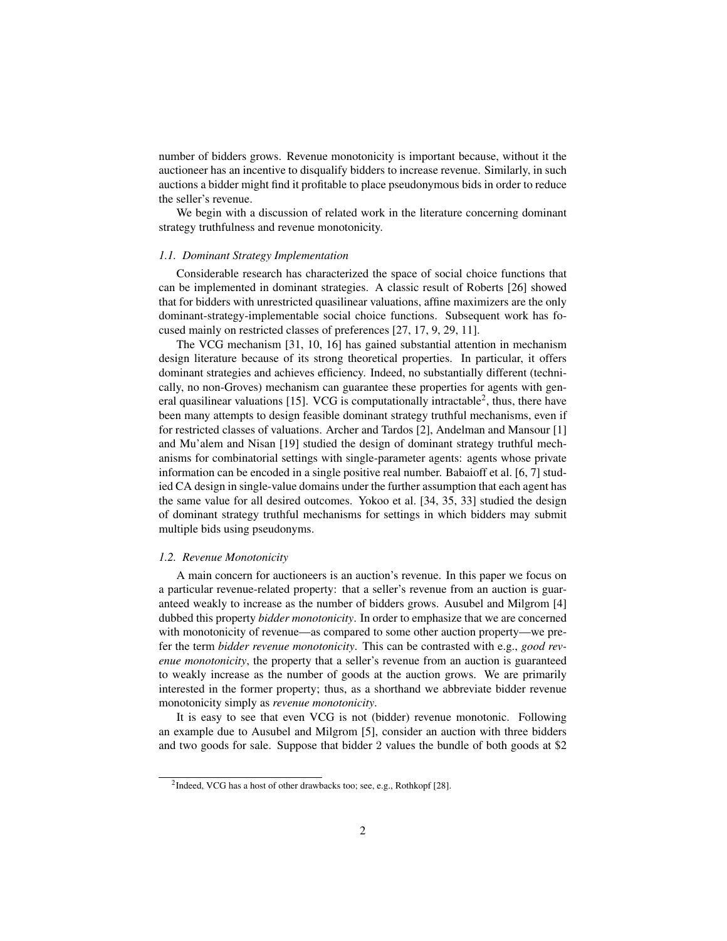number of bidders grows. Revenue monotonicity is important because, without it the auctioneer has an incentive to disqualify bidders to increase revenue. Similarly, in such auctions a bidder might find it profitable to place pseudonymous bids in order to reduce the seller's revenue.

We begin with a discussion of related work in the literature concerning dominant strategy truthfulness and revenue monotonicity.

#### *1.1. Dominant Strategy Implementation*

Considerable research has characterized the space of social choice functions that can be implemented in dominant strategies. A classic result of Roberts [26] showed that for bidders with unrestricted quasilinear valuations, affine maximizers are the only dominant-strategy-implementable social choice functions. Subsequent work has focused mainly on restricted classes of preferences [27, 17, 9, 29, 11].

The VCG mechanism [31, 10, 16] has gained substantial attention in mechanism design literature because of its strong theoretical properties. In particular, it offers dominant strategies and achieves efficiency. Indeed, no substantially different (technically, no non-Groves) mechanism can guarantee these properties for agents with general quasilinear valuations [15]. VCG is computationally intractable<sup>2</sup>, thus, there have been many attempts to design feasible dominant strategy truthful mechanisms, even if for restricted classes of valuations. Archer and Tardos [2], Andelman and Mansour [1] and Mu'alem and Nisan [19] studied the design of dominant strategy truthful mechanisms for combinatorial settings with single-parameter agents: agents whose private information can be encoded in a single positive real number. Babaioff et al. [6, 7] studied CA design in single-value domains under the further assumption that each agent has the same value for all desired outcomes. Yokoo et al. [34, 35, 33] studied the design of dominant strategy truthful mechanisms for settings in which bidders may submit multiple bids using pseudonyms.

#### *1.2. Revenue Monotonicity*

A main concern for auctioneers is an auction's revenue. In this paper we focus on a particular revenue-related property: that a seller's revenue from an auction is guaranteed weakly to increase as the number of bidders grows. Ausubel and Milgrom [4] dubbed this property *bidder monotonicity*. In order to emphasize that we are concerned with monotonicity of revenue—as compared to some other auction property—we prefer the term *bidder revenue monotonicity*. This can be contrasted with e.g., *good revenue monotonicity*, the property that a seller's revenue from an auction is guaranteed to weakly increase as the number of goods at the auction grows. We are primarily interested in the former property; thus, as a shorthand we abbreviate bidder revenue monotonicity simply as *revenue monotonicity*.

It is easy to see that even VCG is not (bidder) revenue monotonic. Following an example due to Ausubel and Milgrom [5], consider an auction with three bidders and two goods for sale. Suppose that bidder 2 values the bundle of both goods at \$2

<sup>&</sup>lt;sup>2</sup>Indeed, VCG has a host of other drawbacks too; see, e.g., Rothkopf [28].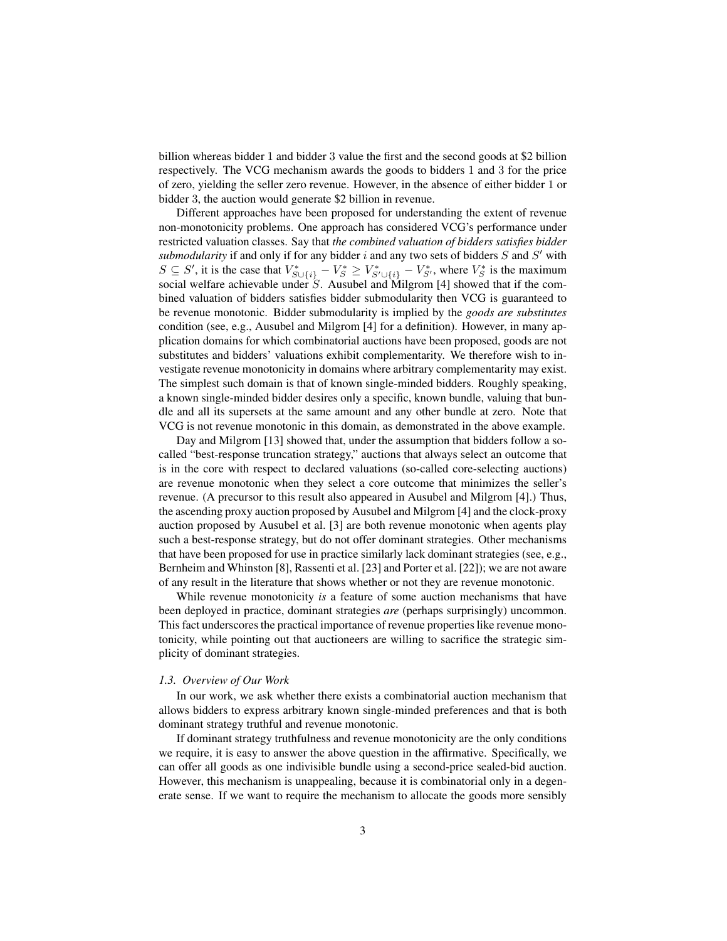billion whereas bidder 1 and bidder 3 value the first and the second goods at \$2 billion respectively. The VCG mechanism awards the goods to bidders 1 and 3 for the price of zero, yielding the seller zero revenue. However, in the absence of either bidder 1 or bidder 3, the auction would generate \$2 billion in revenue.

Different approaches have been proposed for understanding the extent of revenue non-monotonicity problems. One approach has considered VCG's performance under restricted valuation classes. Say that *the combined valuation of bidders satisfies bidder* submodularity if and only if for any bidder  $i$  and any two sets of bidders  $S$  and  $S'$  with  $S \subseteq S'$ , it is the case that  $V_{S \cup \{i\}}^* - V_S^* \ge V_{S' \cup \{i\}}^* - V_{S'}^*$ , where  $V_S^*$  is the maximum social welfare achievable under  $S$ . Ausubel and Milgrom [4] showed that if the combined valuation of bidders satisfies bidder submodularity then VCG is guaranteed to be revenue monotonic. Bidder submodularity is implied by the *goods are substitutes* condition (see, e.g., Ausubel and Milgrom [4] for a definition). However, in many application domains for which combinatorial auctions have been proposed, goods are not substitutes and bidders' valuations exhibit complementarity. We therefore wish to investigate revenue monotonicity in domains where arbitrary complementarity may exist. The simplest such domain is that of known single-minded bidders. Roughly speaking, a known single-minded bidder desires only a specific, known bundle, valuing that bundle and all its supersets at the same amount and any other bundle at zero. Note that VCG is not revenue monotonic in this domain, as demonstrated in the above example.

Day and Milgrom [13] showed that, under the assumption that bidders follow a socalled "best-response truncation strategy," auctions that always select an outcome that is in the core with respect to declared valuations (so-called core-selecting auctions) are revenue monotonic when they select a core outcome that minimizes the seller's revenue. (A precursor to this result also appeared in Ausubel and Milgrom [4].) Thus, the ascending proxy auction proposed by Ausubel and Milgrom [4] and the clock-proxy auction proposed by Ausubel et al. [3] are both revenue monotonic when agents play such a best-response strategy, but do not offer dominant strategies. Other mechanisms that have been proposed for use in practice similarly lack dominant strategies (see, e.g., Bernheim and Whinston [8], Rassenti et al. [23] and Porter et al. [22]); we are not aware of any result in the literature that shows whether or not they are revenue monotonic.

While revenue monotonicity *is* a feature of some auction mechanisms that have been deployed in practice, dominant strategies *are* (perhaps surprisingly) uncommon. This fact underscores the practical importance of revenue properties like revenue monotonicity, while pointing out that auctioneers are willing to sacrifice the strategic simplicity of dominant strategies.

#### *1.3. Overview of Our Work*

In our work, we ask whether there exists a combinatorial auction mechanism that allows bidders to express arbitrary known single-minded preferences and that is both dominant strategy truthful and revenue monotonic.

If dominant strategy truthfulness and revenue monotonicity are the only conditions we require, it is easy to answer the above question in the affirmative. Specifically, we can offer all goods as one indivisible bundle using a second-price sealed-bid auction. However, this mechanism is unappealing, because it is combinatorial only in a degenerate sense. If we want to require the mechanism to allocate the goods more sensibly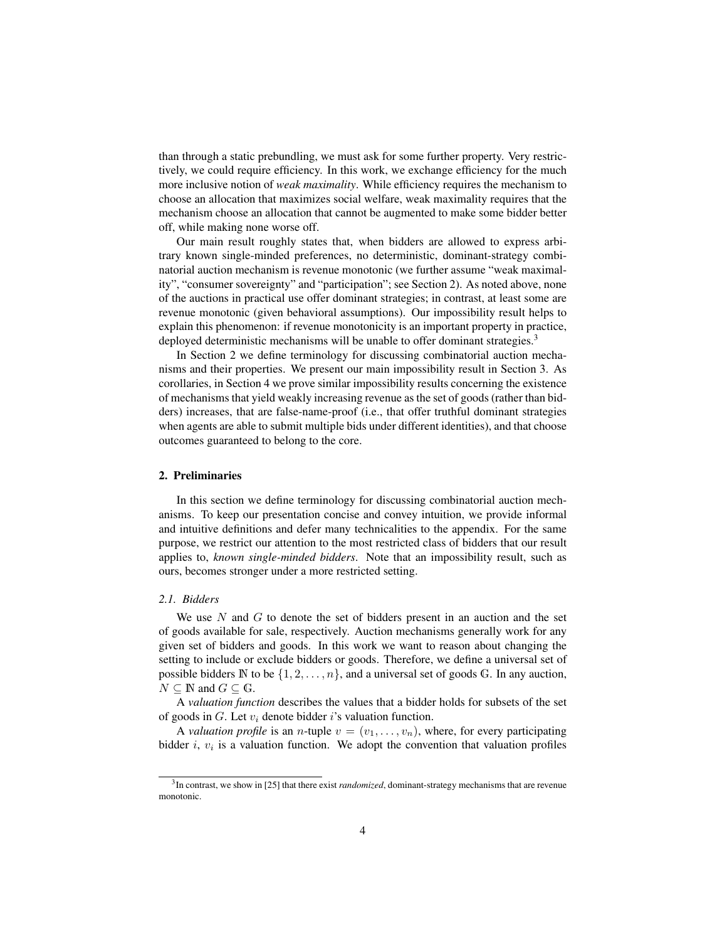than through a static prebundling, we must ask for some further property. Very restrictively, we could require efficiency. In this work, we exchange efficiency for the much more inclusive notion of *weak maximality*. While efficiency requires the mechanism to choose an allocation that maximizes social welfare, weak maximality requires that the mechanism choose an allocation that cannot be augmented to make some bidder better off, while making none worse off.

Our main result roughly states that, when bidders are allowed to express arbitrary known single-minded preferences, no deterministic, dominant-strategy combinatorial auction mechanism is revenue monotonic (we further assume "weak maximality", "consumer sovereignty" and "participation"; see Section 2). As noted above, none of the auctions in practical use offer dominant strategies; in contrast, at least some are revenue monotonic (given behavioral assumptions). Our impossibility result helps to explain this phenomenon: if revenue monotonicity is an important property in practice, deployed deterministic mechanisms will be unable to offer dominant strategies.<sup>3</sup>

In Section 2 we define terminology for discussing combinatorial auction mechanisms and their properties. We present our main impossibility result in Section 3. As corollaries, in Section 4 we prove similar impossibility results concerning the existence of mechanisms that yield weakly increasing revenue as the set of goods (rather than bidders) increases, that are false-name-proof (i.e., that offer truthful dominant strategies when agents are able to submit multiple bids under different identities), and that choose outcomes guaranteed to belong to the core.

## 2. Preliminaries

In this section we define terminology for discussing combinatorial auction mechanisms. To keep our presentation concise and convey intuition, we provide informal and intuitive definitions and defer many technicalities to the appendix. For the same purpose, we restrict our attention to the most restricted class of bidders that our result applies to, *known single-minded bidders*. Note that an impossibility result, such as ours, becomes stronger under a more restricted setting.

# *2.1. Bidders*

We use N and G to denote the set of bidders present in an auction and the set of goods available for sale, respectively. Auction mechanisms generally work for any given set of bidders and goods. In this work we want to reason about changing the setting to include or exclude bidders or goods. Therefore, we define a universal set of possible bidders  $\mathbb N$  to be  $\{1, 2, \ldots, n\}$ , and a universal set of goods  $\mathbb G$ . In any auction,  $N \subseteq \mathbb{N}$  and  $G \subseteq \mathbb{G}$ .

A *valuation function* describes the values that a bidder holds for subsets of the set of goods in  $G$ . Let  $v_i$  denote bidder i's valuation function.

A *valuation profile* is an *n*-tuple  $v = (v_1, \ldots, v_n)$ , where, for every participating bidder  $i$ ,  $v_i$  is a valuation function. We adopt the convention that valuation profiles

<sup>3</sup> In contrast, we show in [25] that there exist *randomized*, dominant-strategy mechanisms that are revenue monotonic.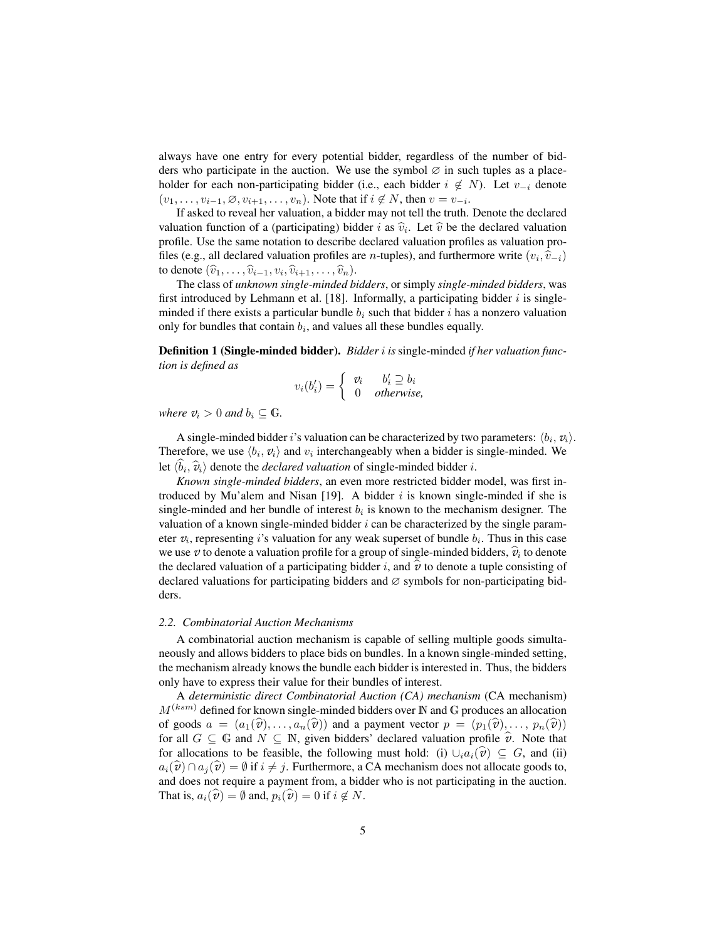always have one entry for every potential bidder, regardless of the number of bidders who participate in the auction. We use the symbol  $\varnothing$  in such tuples as a placeholder for each non-participating bidder (i.e., each bidder  $i \notin N$ ). Let  $v_{-i}$  denote  $(v_1, \ldots, v_{i-1}, \emptyset, v_{i+1}, \ldots, v_n)$ . Note that if  $i \notin N$ , then  $v = v_{-i}$ .

If asked to reveal her valuation, a bidder may not tell the truth. Denote the declared valuation function of a (participating) bidder i as  $\hat{v}_i$ . Let  $\hat{v}$  be the declared valuation<br>profile. He the same potation to describe declared valuation profiles as valuation pro profile. Use the same notation to describe declared valuation profiles as valuation profiles (e.g., all declared valuation profiles are *n*-tuples), and furthermore write  $(v_i, \hat{v}_{-i})$ to denote  $(\widehat{v}_1, \ldots, \widehat{v}_{i-1}, v_i, \widehat{v}_{i+1}, \ldots, \widehat{v}_n).$ <br>The class of *unknown* single minded by

The class of *unknown single-minded bidders*, or simply *single-minded bidders*, was first introduced by Lehmann et al. [18]. Informally, a participating bidder  $i$  is singleminded if there exists a particular bundle  $b_i$  such that bidder i has a nonzero valuation only for bundles that contain  $b_i$ , and values all these bundles equally.

Definition 1 (Single-minded bidder). *Bidder* i *is* single-minded *if her valuation function is defined as*

$$
v_i(b'_i) = \begin{cases} v_i & b'_i \supseteq b_i \\ 0 & otherwise, \end{cases}
$$

*where*  $v_i > 0$  *and*  $b_i \subseteq \mathbb{G}$ *.* 

A single-minded bidder *i*'s valuation can be characterized by two parameters:  $\langle b_i, v_i \rangle$ . Therefore, we use  $\langle b_i, v_i \rangle$  and  $v_i$  interchangeably when a bidder is single-minded. We let  $\langle b_i, \hat{v}_i \rangle$  denote the *declared valuation* of single-minded bidder *i.*<br>Kanno single winded biddens on over more positived biddens

*Known single-minded bidders*, an even more restricted bidder model, was first introduced by Mu'alem and Nisan [19]. A bidder  $i$  is known single-minded if she is single-minded and her bundle of interest  $b_i$  is known to the mechanism designer. The valuation of a known single-minded bidder  $i$  can be characterized by the single parameter  $v_i$ , representing i's valuation for any weak superset of bundle  $b_i$ . Thus in this case we use  $v$  to denote a valuation profile for a group of single-minded bidders,  $\hat{v}_i$  to denote the declared valuation of a participating bidder i, and  $\hat{v}$  to denote a tuple consisting of declared valuations for participating bidders and ∅ symbols for non-participating bidders.

#### *2.2. Combinatorial Auction Mechanisms*

A combinatorial auction mechanism is capable of selling multiple goods simultaneously and allows bidders to place bids on bundles. In a known single-minded setting, the mechanism already knows the bundle each bidder is interested in. Thus, the bidders only have to express their value for their bundles of interest.

A *deterministic direct Combinatorial Auction (CA) mechanism* (CA mechanism)  $M^{(ksm)}$  defined for known single-minded bidders over N and G produces an allocation of goods  $a = (a_1(\hat{v}), \ldots, a_n(\hat{v}))$  and a payment vector  $p = (p_1(\hat{v}), \ldots, p_n(\hat{v}))$ for all  $G \subseteq \mathbb{G}$  and  $N \subseteq \mathbb{N}$ , given bidders' declared valuation profile  $\hat{v}$ . Note that for allocations to be feasible, the following must hold: (i)  $\cup_i a_i(\hat{v}) \subseteq G$ , and (ii)  $a_i(\widehat{v}) \cap a_j(\widehat{v}) = \emptyset$  if  $i \neq j$ . Furthermore, a CA mechanism does not allocate goods to, and does not require a payment from, a bidder who is not participating in the auction. That is,  $a_i(\hat{v}) = \emptyset$  and,  $p_i(\hat{v}) = 0$  if  $i \notin N$ .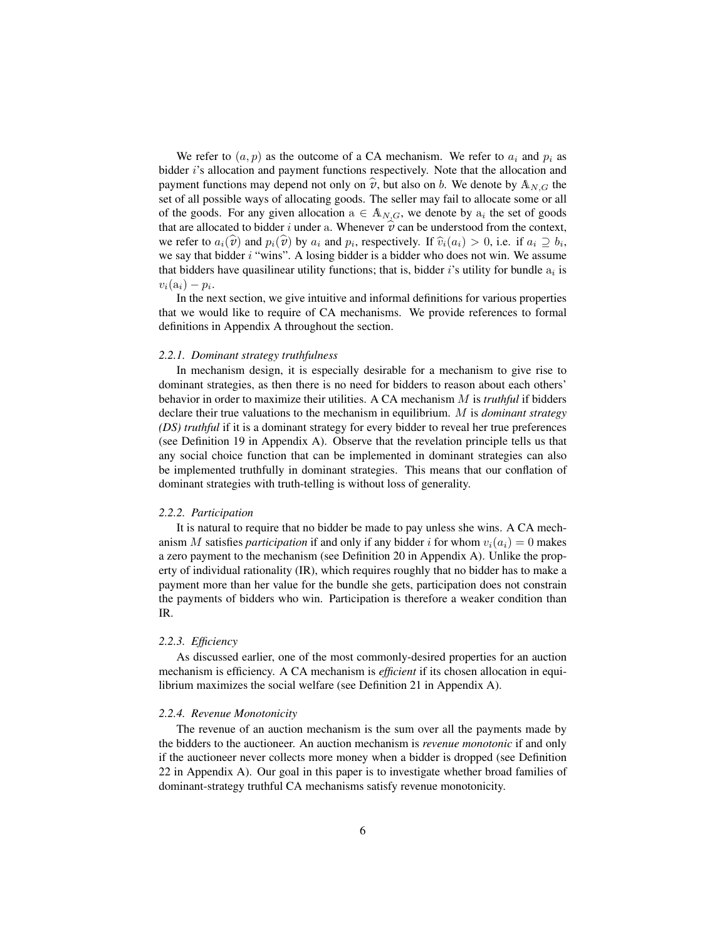We refer to  $(a, p)$  as the outcome of a CA mechanism. We refer to  $a_i$  and  $p_i$  as bidder i's allocation and payment functions respectively. Note that the allocation and payment functions may depend not only on  $\hat{v}$ , but also on b. We denote by  $\mathbb{A}_{N,G}$  the set of all possible ways of allocating goods. The seller may fail to allocate some or all of the goods. For any given allocation  $a \in A_{N,G}$ , we denote by  $a_i$  the set of goods that are allocated to bidder i under a. Whenever  $\hat{v}$  can be understood from the context, we refer to  $a_i(\hat{v})$  and  $p_i(\hat{v})$  by  $a_i$  and  $p_i$ , respectively. If  $\hat{v}_i(a_i) > 0$ , i.e. if  $a_i \supseteq b_i$ , we say that hidder *i* "wine". A losing hidder is a hidder who does not win. We assume we say that bidder  $i$  "wins". A losing bidder is a bidder who does not win. We assume that bidders have quasilinear utility functions; that is, bidder i's utility for bundle  $a_i$  is  $v_i(\mathbf{a}_i)-p_i.$ 

In the next section, we give intuitive and informal definitions for various properties that we would like to require of CA mechanisms. We provide references to formal definitions in Appendix A throughout the section.

#### *2.2.1. Dominant strategy truthfulness*

In mechanism design, it is especially desirable for a mechanism to give rise to dominant strategies, as then there is no need for bidders to reason about each others' behavior in order to maximize their utilities. A CA mechanism M is *truthful* if bidders declare their true valuations to the mechanism in equilibrium. M is *dominant strategy (DS) truthful* if it is a dominant strategy for every bidder to reveal her true preferences (see Definition 19 in Appendix A). Observe that the revelation principle tells us that any social choice function that can be implemented in dominant strategies can also be implemented truthfully in dominant strategies. This means that our conflation of dominant strategies with truth-telling is without loss of generality.

#### *2.2.2. Participation*

It is natural to require that no bidder be made to pay unless she wins. A CA mechanism M satisfies *participation* if and only if any bidder i for whom  $v_i(a_i) = 0$  makes a zero payment to the mechanism (see Definition 20 in Appendix A). Unlike the property of individual rationality (IR), which requires roughly that no bidder has to make a payment more than her value for the bundle she gets, participation does not constrain the payments of bidders who win. Participation is therefore a weaker condition than IR.

## *2.2.3. Efficiency*

As discussed earlier, one of the most commonly-desired properties for an auction mechanism is efficiency. A CA mechanism is *efficient* if its chosen allocation in equilibrium maximizes the social welfare (see Definition 21 in Appendix A).

#### *2.2.4. Revenue Monotonicity*

The revenue of an auction mechanism is the sum over all the payments made by the bidders to the auctioneer. An auction mechanism is *revenue monotonic* if and only if the auctioneer never collects more money when a bidder is dropped (see Definition 22 in Appendix A). Our goal in this paper is to investigate whether broad families of dominant-strategy truthful CA mechanisms satisfy revenue monotonicity.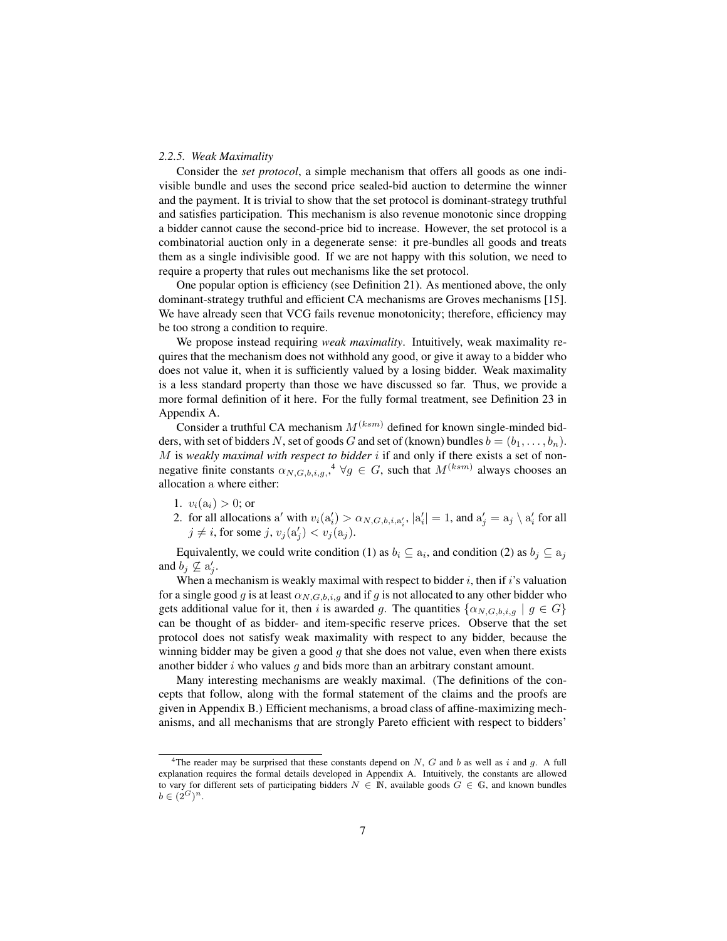## *2.2.5. Weak Maximality*

Consider the *set protocol*, a simple mechanism that offers all goods as one indivisible bundle and uses the second price sealed-bid auction to determine the winner and the payment. It is trivial to show that the set protocol is dominant-strategy truthful and satisfies participation. This mechanism is also revenue monotonic since dropping a bidder cannot cause the second-price bid to increase. However, the set protocol is a combinatorial auction only in a degenerate sense: it pre-bundles all goods and treats them as a single indivisible good. If we are not happy with this solution, we need to require a property that rules out mechanisms like the set protocol.

One popular option is efficiency (see Definition 21). As mentioned above, the only dominant-strategy truthful and efficient CA mechanisms are Groves mechanisms [15]. We have already seen that VCG fails revenue monotonicity; therefore, efficiency may be too strong a condition to require.

We propose instead requiring *weak maximality*. Intuitively, weak maximality requires that the mechanism does not withhold any good, or give it away to a bidder who does not value it, when it is sufficiently valued by a losing bidder. Weak maximality is a less standard property than those we have discussed so far. Thus, we provide a more formal definition of it here. For the fully formal treatment, see Definition 23 in Appendix A.

Consider a truthful CA mechanism  $M^{(ksm)}$  defined for known single-minded bidders, with set of bidders N, set of goods G and set of (known) bundles  $b = (b_1, \ldots, b_n)$ . M is *weakly maximal with respect to bidder* i if and only if there exists a set of nonnegative finite constants  $\alpha_{N,G,b,i,g}$ ,  $4 \forall g \in G$ , such that  $M^{(ksm)}$  always chooses an allocation a where either:

- 1.  $v_i(a_i) > 0$ ; or
- 2. for all allocations a' with  $v_i(a'_i) > \alpha_{N,G,b,i,a'_i}, |a'_i| = 1$ , and  $a'_j = a_j \setminus a'_i$  for all  $j \neq i$ , for some  $j, v_j(a'_j) < v_j(a_j)$ .

Equivalently, we could write condition (1) as  $b_i \subseteq a_i$ , and condition (2) as  $b_j \subseteq a_j$ and  $b_j \nsubseteq a'_j$ .

When a mechanism is weakly maximal with respect to bidder  $i$ , then if  $i$ 's valuation for a single good g is at least  $\alpha_{N,G,b,i,g}$  and if g is not allocated to any other bidder who gets additional value for it, then i is awarded g. The quantities  $\{\alpha_{N,G,b,i,q} \mid g \in G\}$ can be thought of as bidder- and item-specific reserve prices. Observe that the set protocol does not satisfy weak maximality with respect to any bidder, because the winning bidder may be given a good  $q$  that she does not value, even when there exists another bidder  $i$  who values  $q$  and bids more than an arbitrary constant amount.

Many interesting mechanisms are weakly maximal. (The definitions of the concepts that follow, along with the formal statement of the claims and the proofs are given in Appendix B.) Efficient mechanisms, a broad class of affine-maximizing mechanisms, and all mechanisms that are strongly Pareto efficient with respect to bidders'

<sup>&</sup>lt;sup>4</sup>The reader may be surprised that these constants depend on N, G and b as well as i and q. A full explanation requires the formal details developed in Appendix A. Intuitively, the constants are allowed to vary for different sets of participating bidders  $N \in \mathbb{N}$ , available goods  $G \in \mathbb{G}$ , and known bundles  $b \in (2^G)^n$ .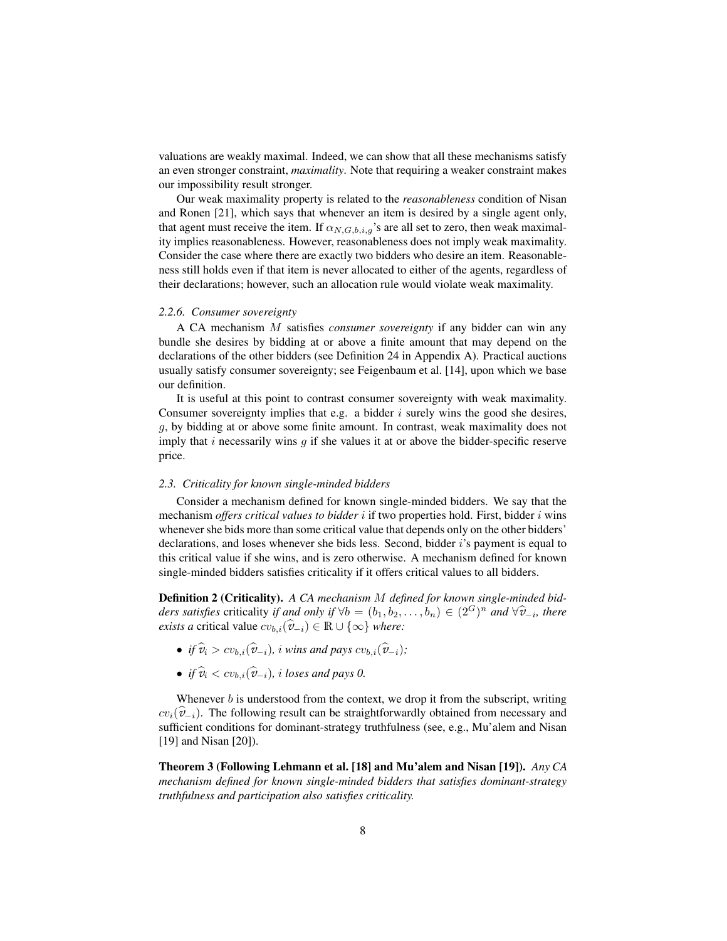valuations are weakly maximal. Indeed, we can show that all these mechanisms satisfy an even stronger constraint, *maximality*. Note that requiring a weaker constraint makes our impossibility result stronger.

Our weak maximality property is related to the *reasonableness* condition of Nisan and Ronen [21], which says that whenever an item is desired by a single agent only, that agent must receive the item. If  $\alpha_{N,G,b,i,g}$ 's are all set to zero, then weak maximality implies reasonableness. However, reasonableness does not imply weak maximality. Consider the case where there are exactly two bidders who desire an item. Reasonableness still holds even if that item is never allocated to either of the agents, regardless of their declarations; however, such an allocation rule would violate weak maximality.

## *2.2.6. Consumer sovereignty*

A CA mechanism M satisfies *consumer sovereignty* if any bidder can win any bundle she desires by bidding at or above a finite amount that may depend on the declarations of the other bidders (see Definition 24 in Appendix A). Practical auctions usually satisfy consumer sovereignty; see Feigenbaum et al. [14], upon which we base our definition.

It is useful at this point to contrast consumer sovereignty with weak maximality. Consumer sovereignty implies that e.g. a bidder  $i$  surely wins the good she desires, g, by bidding at or above some finite amount. In contrast, weak maximality does not imply that i necessarily wins  $q$  if she values it at or above the bidder-specific reserve price.

## *2.3. Criticality for known single-minded bidders*

Consider a mechanism defined for known single-minded bidders. We say that the mechanism *offers critical values to bidder* i if two properties hold. First, bidder i wins whenever she bids more than some critical value that depends only on the other bidders' declarations, and loses whenever she bids less. Second, bidder i's payment is equal to this critical value if she wins, and is zero otherwise. A mechanism defined for known single-minded bidders satisfies criticality if it offers critical values to all bidders.

Definition 2 (Criticality). *A CA mechanism* M *defined for known single-minded bidders satisfies* criticality *if and only if*  $\forall b = (b_1, b_2, \dots, b_n) \in (2^G)^n$  *and*  $\forall \hat{v}_{-i}$ *, there exists a* critical value  $cv_{b,i}(\hat{v}_{-i}) \in \mathbb{R} \cup \{\infty\}$  *where:* 

- *if*  $\hat{v}_i > cv_b$ ,  $(\hat{v}_{-i})$ , *i* wins and pays  $cv_b$ ,  $(\hat{v}_{-i})$ ;
- *if*  $\widehat{v}_i < cv_{b,i}(\widehat{v}_{-i}),$  *i loses and pays 0.*

Whenever  $b$  is understood from the context, we drop it from the subscript, writing  $cv_i(\hat{v}_{-i})$ . The following result can be straightforwardly obtained from necessary and sufficient conditions for dominant-strategy truthfulness (see, e.g., Mu'alem and Nisan [19] and Nisan [20]).

Theorem 3 (Following Lehmann et al. [18] and Mu'alem and Nisan [19]). *Any CA mechanism defined for known single-minded bidders that satisfies dominant-strategy truthfulness and participation also satisfies criticality.*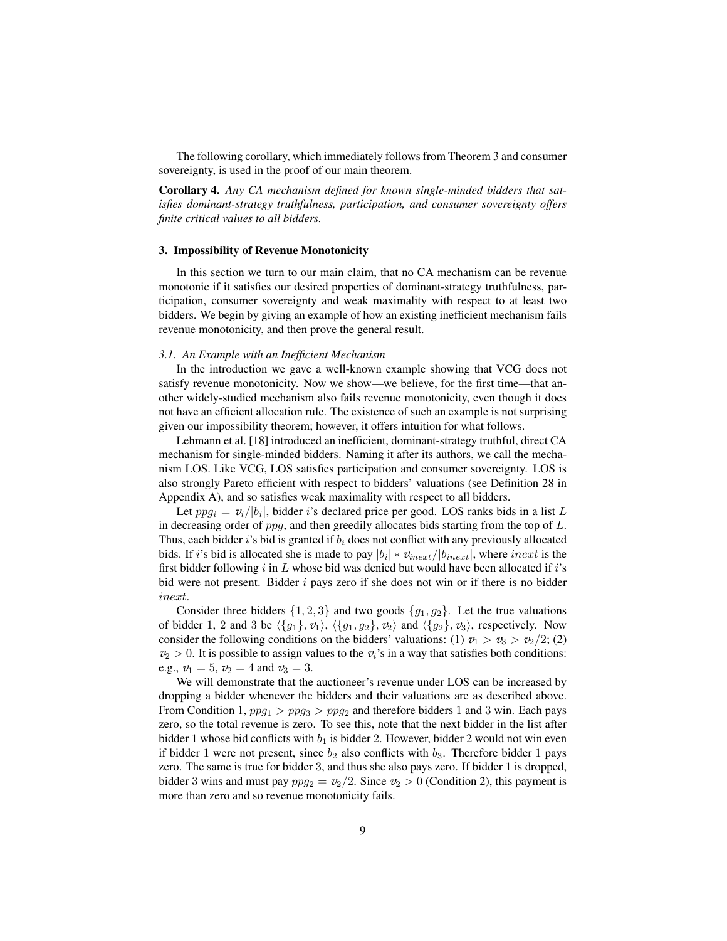The following corollary, which immediately follows from Theorem 3 and consumer sovereignty, is used in the proof of our main theorem.

Corollary 4. *Any CA mechanism defined for known single-minded bidders that satisfies dominant-strategy truthfulness, participation, and consumer sovereignty offers finite critical values to all bidders.*

## 3. Impossibility of Revenue Monotonicity

In this section we turn to our main claim, that no CA mechanism can be revenue monotonic if it satisfies our desired properties of dominant-strategy truthfulness, participation, consumer sovereignty and weak maximality with respect to at least two bidders. We begin by giving an example of how an existing inefficient mechanism fails revenue monotonicity, and then prove the general result.

#### *3.1. An Example with an Inefficient Mechanism*

In the introduction we gave a well-known example showing that VCG does not satisfy revenue monotonicity. Now we show—we believe, for the first time—that another widely-studied mechanism also fails revenue monotonicity, even though it does not have an efficient allocation rule. The existence of such an example is not surprising given our impossibility theorem; however, it offers intuition for what follows.

Lehmann et al. [18] introduced an inefficient, dominant-strategy truthful, direct CA mechanism for single-minded bidders. Naming it after its authors, we call the mechanism LOS. Like VCG, LOS satisfies participation and consumer sovereignty. LOS is also strongly Pareto efficient with respect to bidders' valuations (see Definition 28 in Appendix A), and so satisfies weak maximality with respect to all bidders.

Let  $ppg_i = v_i/|b_i|$ , bidder *i*'s declared price per good. LOS ranks bids in a list L in decreasing order of  $ppq$ , and then greedily allocates bids starting from the top of  $L$ . Thus, each bidder i's bid is granted if  $b_i$  does not conflict with any previously allocated bids. If *i*'s bid is allocated she is made to pay  $|b_i| * v_{inext}/|b_{inext}|$ , where  $inext$  is the first bidder following  $i$  in  $L$  whose bid was denied but would have been allocated if  $i$ 's bid were not present. Bidder  $i$  pays zero if she does not win or if there is no bidder inext.

Consider three bidders  $\{1, 2, 3\}$  and two goods  $\{g_1, g_2\}$ . Let the true valuations of bidder 1, 2 and 3 be  $\langle {g_1}, {v_1}\rangle$ ,  $\langle {g_1}, {g_2}, {v_2}\rangle$  and  $\langle {g_2}, {v_3}\rangle$ , respectively. Now consider the following conditions on the bidders' valuations: (1)  $v_1 > v_3 > v_2/2$ ; (2)  $v_2 > 0$ . It is possible to assign values to the  $v_i$ 's in a way that satisfies both conditions: e.g.,  $v_1 = 5$ ,  $v_2 = 4$  and  $v_3 = 3$ .

We will demonstrate that the auctioneer's revenue under LOS can be increased by dropping a bidder whenever the bidders and their valuations are as described above. From Condition 1,  $ppg_1 > ppg_3 > ppg_2$  and therefore bidders 1 and 3 win. Each pays zero, so the total revenue is zero. To see this, note that the next bidder in the list after bidder 1 whose bid conflicts with  $b_1$  is bidder 2. However, bidder 2 would not win even if bidder 1 were not present, since  $b_2$  also conflicts with  $b_3$ . Therefore bidder 1 pays zero. The same is true for bidder 3, and thus she also pays zero. If bidder 1 is dropped, bidder 3 wins and must pay  $ppg_2 = v_2/2$ . Since  $v_2 > 0$  (Condition 2), this payment is more than zero and so revenue monotonicity fails.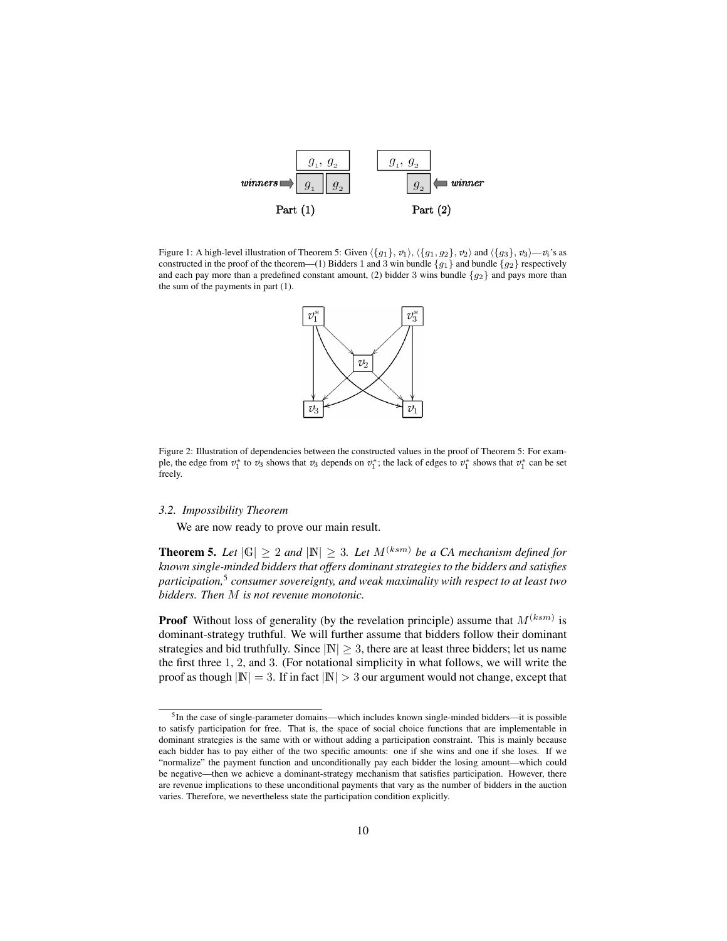

Figure 1: A high-level illustration of Theorem 5: Given  $\langle {g_1}, {v_1}\rangle$ ,  $\langle {g_1}, {g_2}\rangle$ ,  $v_2\rangle$  and  $\langle {g_3}, {v_3}\rangle$ — $v_i$ 's as constructed in the proof of the theorem—(1) Bidders 1 and 3 win bundle {g<sub>1</sub>} and bundle {g<sub>2</sub>} respectively and each pay more than a predefined constant amount, (2) bidder 3 wins bundle  $\{g_2\}$  and pays more than the sum of the payments in part (1).



Figure 2: Illustration of dependencies between the constructed values in the proof of Theorem 5: For example, the edge from  $v_1^*$  to  $v_3$  shows that  $v_3$  depends on  $v_1^*$ ; the lack of edges to  $v_1^*$  shows that  $v_1^*$  can be set freely.

#### *3.2. Impossibility Theorem*

We are now ready to prove our main result.

**Theorem 5.** Let  $|G| \geq 2$  and  $|\mathbb{N}| \geq 3$ . Let  $M^{(ksm)}$  be a CA mechanism defined for *known single-minded bidders that offers dominant strategies to the bidders and satisfies participation,*<sup>5</sup> *consumer sovereignty, and weak maximality with respect to at least two bidders. Then* M *is not revenue monotonic.*

**Proof** Without loss of generality (by the revelation principle) assume that  $M^{(ksm)}$  is dominant-strategy truthful. We will further assume that bidders follow their dominant strategies and bid truthfully. Since  $|N| > 3$ , there are at least three bidders; let us name the first three 1, 2, and 3. (For notational simplicity in what follows, we will write the proof as though  $|N| = 3$ . If in fact  $|N| > 3$  our argument would not change, except that

<sup>&</sup>lt;sup>5</sup>In the case of single-parameter domains—which includes known single-minded bidders—it is possible to satisfy participation for free. That is, the space of social choice functions that are implementable in dominant strategies is the same with or without adding a participation constraint. This is mainly because each bidder has to pay either of the two specific amounts: one if she wins and one if she loses. If we "normalize" the payment function and unconditionally pay each bidder the losing amount—which could be negative—then we achieve a dominant-strategy mechanism that satisfies participation. However, there are revenue implications to these unconditional payments that vary as the number of bidders in the auction varies. Therefore, we nevertheless state the participation condition explicitly.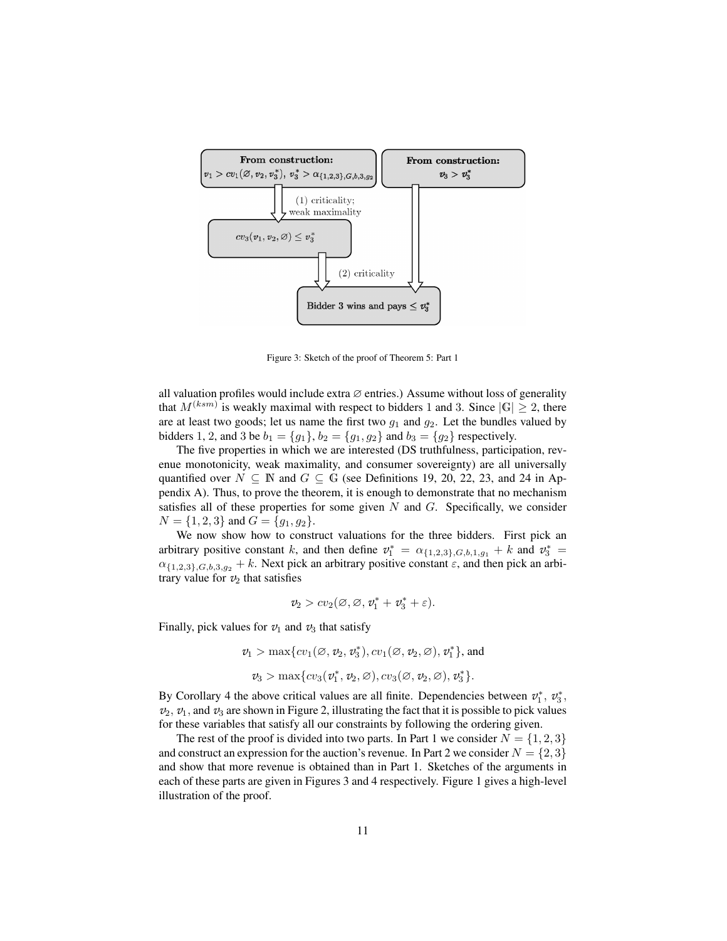

Figure 3: Sketch of the proof of Theorem 5: Part 1

all valuation profiles would include extra  $\varnothing$  entries.) Assume without loss of generality that  $M^{(ksm)}$  is weakly maximal with respect to bidders 1 and 3. Since  $|\mathbb{G}| \geq 2$ , there are at least two goods; let us name the first two  $g_1$  and  $g_2$ . Let the bundles valued by bidders 1, 2, and 3 be  $b_1 = \{g_1\}$ ,  $b_2 = \{g_1, g_2\}$  and  $b_3 = \{g_2\}$  respectively.

The five properties in which we are interested (DS truthfulness, participation, revenue monotonicity, weak maximality, and consumer sovereignty) are all universally quantified over  $N \subseteq \mathbb{N}$  and  $G \subseteq \mathbb{G}$  (see Definitions 19, 20, 22, 23, and 24 in Appendix A). Thus, to prove the theorem, it is enough to demonstrate that no mechanism satisfies all of these properties for some given  $N$  and  $G$ . Specifically, we consider  $N = \{1, 2, 3\}$  and  $G = \{g_1, g_2\}.$ 

We now show how to construct valuations for the three bidders. First pick an arbitrary positive constant k, and then define  $v_1^* = \alpha_{\{1,2,3\},G,b,1,g_1} + k$  and  $v_3^* =$  $\alpha_{\{1,2,3\},G,b,3,g_2}$  + k. Next pick an arbitrary positive constant  $\varepsilon$ , and then pick an arbitrary value for  $v_2$  that satisfies

$$
v_2 > cv_2(\varnothing,\varnothing,v_1^*+v_3^*+\varepsilon).
$$

Finally, pick values for  $v_1$  and  $v_3$  that satisfy

 $v_1 > \max\{cv_1(\emptyset, v_2, v_3^*), cv_1(\emptyset, v_2, \emptyset), v_1^*\}$ , and  $v_3 > \max\{cv_3(v_1^*, v_2, \emptyset), cv_3(\emptyset, v_2, \emptyset), v_3^*\}.$ 

By Corollary 4 the above critical values are all finite. Dependencies between  $v_1^*, v_3^*,$  $v_2$ ,  $v_1$ , and  $v_3$  are shown in Figure 2, illustrating the fact that it is possible to pick values for these variables that satisfy all our constraints by following the ordering given.

The rest of the proof is divided into two parts. In Part 1 we consider  $N = \{1, 2, 3\}$ and construct an expression for the auction's revenue. In Part 2 we consider  $N = \{2, 3\}$ and show that more revenue is obtained than in Part 1. Sketches of the arguments in each of these parts are given in Figures 3 and 4 respectively. Figure 1 gives a high-level illustration of the proof.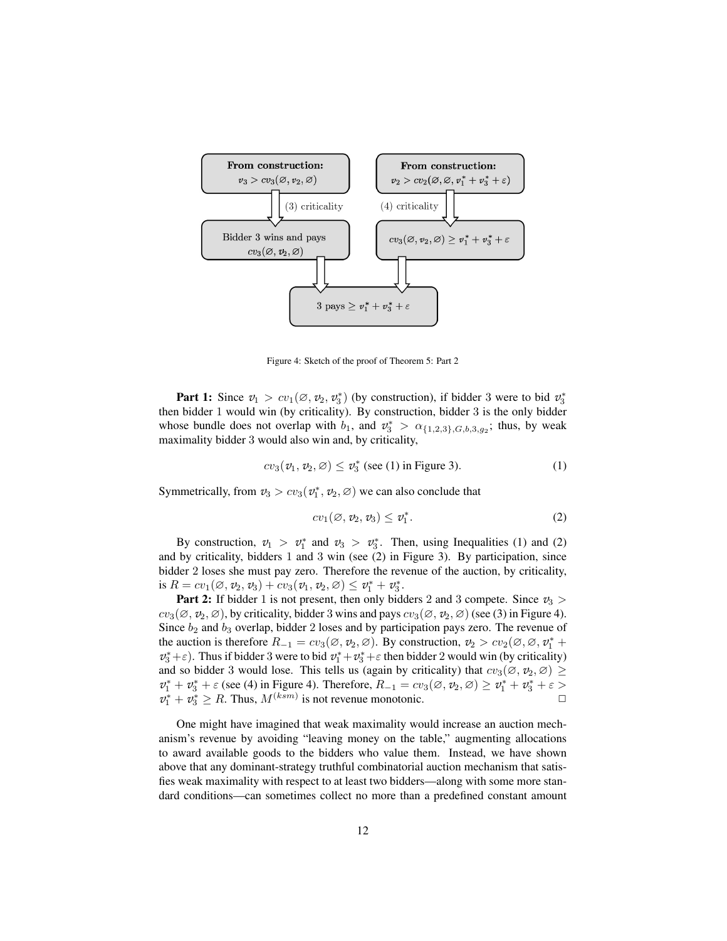

Figure 4: Sketch of the proof of Theorem 5: Part 2

**Part 1:** Since  $v_1 > cv_1(\emptyset, v_2, v_3^*)$  (by construction), if bidder 3 were to bid  $v_3^*$ then bidder 1 would win (by criticality). By construction, bidder 3 is the only bidder whose bundle does not overlap with  $b_1$ , and  $v_3^* > \alpha_{\{1,2,3\},G,b,3,g_2}$ ; thus, by weak maximality bidder 3 would also win and, by criticality,

$$
cv_3(v_1, v_2, \varnothing) \le v_3^* \text{ (see (1) in Figure 3).}
$$
 (1)

Symmetrically, from  $v_3 > cv_3(v_1^*, v_2, \emptyset)$  we can also conclude that

$$
cv_1(\varnothing,\,v_2,\,v_3)\leq v_1^*.\tag{2}
$$

By construction,  $v_1 > v_1^*$  and  $v_3 > v_3^*$ . Then, using Inequalities (1) and (2) and by criticality, bidders 1 and 3 win (see (2) in Figure 3). By participation, since bidder 2 loses she must pay zero. Therefore the revenue of the auction, by criticality, is  $R = cv_1(\emptyset, v_2, v_3) + cv_3(v_1, v_2, \emptyset) \le v_1^* + v_3^*.$ 

**Part 2:** If bidder 1 is not present, then only bidders 2 and 3 compete. Since  $v_3$  $cv_3(\emptyset, v_2, \emptyset)$ , by criticality, bidder 3 wins and pays  $cv_3(\emptyset, v_2, \emptyset)$  (see (3) in Figure 4). Since  $b_2$  and  $b_3$  overlap, bidder 2 loses and by participation pays zero. The revenue of the auction is therefore  $R_{-1} = cv_3(\emptyset, v_2, \emptyset)$ . By construction,  $v_2 > cv_2(\emptyset, \emptyset, v_1^* +$  $v_3^* + \varepsilon$ ). Thus if bidder 3 were to bid  $v_1^* + v_3^* + \varepsilon$  then bidder 2 would win (by criticality) and so bidder 3 would lose. This tells us (again by criticality) that  $cv_3(\emptyset, v_2, \emptyset) \geq$  $v_1^* + v_3^* + \varepsilon$  (see (4) in Figure 4). Therefore,  $R_{-1} = cv_3(\emptyset, v_2, \emptyset) \ge v_1^* + v_3^* + \varepsilon >$  $v_1^* + v_3^* \ge R$ . Thus,  $M^{(ksm)}$  is not revenue monotonic.

One might have imagined that weak maximality would increase an auction mechanism's revenue by avoiding "leaving money on the table," augmenting allocations to award available goods to the bidders who value them. Instead, we have shown above that any dominant-strategy truthful combinatorial auction mechanism that satisfies weak maximality with respect to at least two bidders—along with some more standard conditions—can sometimes collect no more than a predefined constant amount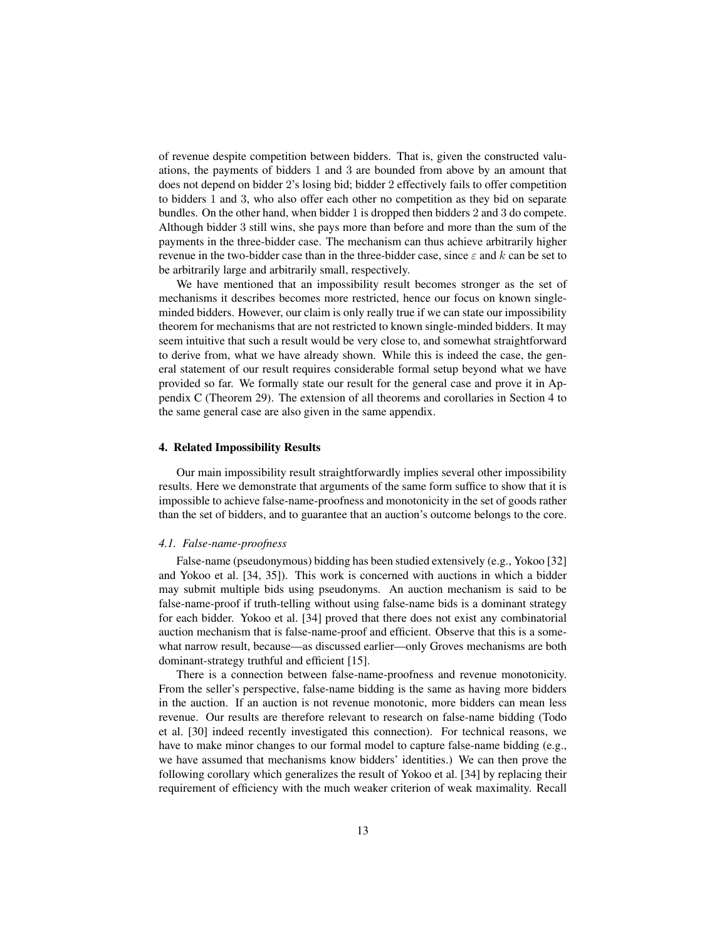of revenue despite competition between bidders. That is, given the constructed valuations, the payments of bidders 1 and 3 are bounded from above by an amount that does not depend on bidder 2's losing bid; bidder 2 effectively fails to offer competition to bidders 1 and 3, who also offer each other no competition as they bid on separate bundles. On the other hand, when bidder 1 is dropped then bidders 2 and 3 do compete. Although bidder 3 still wins, she pays more than before and more than the sum of the payments in the three-bidder case. The mechanism can thus achieve arbitrarily higher revenue in the two-bidder case than in the three-bidder case, since  $\varepsilon$  and k can be set to be arbitrarily large and arbitrarily small, respectively.

We have mentioned that an impossibility result becomes stronger as the set of mechanisms it describes becomes more restricted, hence our focus on known singleminded bidders. However, our claim is only really true if we can state our impossibility theorem for mechanisms that are not restricted to known single-minded bidders. It may seem intuitive that such a result would be very close to, and somewhat straightforward to derive from, what we have already shown. While this is indeed the case, the general statement of our result requires considerable formal setup beyond what we have provided so far. We formally state our result for the general case and prove it in Appendix C (Theorem 29). The extension of all theorems and corollaries in Section 4 to the same general case are also given in the same appendix.

#### 4. Related Impossibility Results

Our main impossibility result straightforwardly implies several other impossibility results. Here we demonstrate that arguments of the same form suffice to show that it is impossible to achieve false-name-proofness and monotonicity in the set of goods rather than the set of bidders, and to guarantee that an auction's outcome belongs to the core.

## *4.1. False-name-proofness*

False-name (pseudonymous) bidding has been studied extensively (e.g., Yokoo [32] and Yokoo et al. [34, 35]). This work is concerned with auctions in which a bidder may submit multiple bids using pseudonyms. An auction mechanism is said to be false-name-proof if truth-telling without using false-name bids is a dominant strategy for each bidder. Yokoo et al. [34] proved that there does not exist any combinatorial auction mechanism that is false-name-proof and efficient. Observe that this is a somewhat narrow result, because—as discussed earlier—only Groves mechanisms are both dominant-strategy truthful and efficient [15].

There is a connection between false-name-proofness and revenue monotonicity. From the seller's perspective, false-name bidding is the same as having more bidders in the auction. If an auction is not revenue monotonic, more bidders can mean less revenue. Our results are therefore relevant to research on false-name bidding (Todo et al. [30] indeed recently investigated this connection). For technical reasons, we have to make minor changes to our formal model to capture false-name bidding (e.g., we have assumed that mechanisms know bidders' identities.) We can then prove the following corollary which generalizes the result of Yokoo et al. [34] by replacing their requirement of efficiency with the much weaker criterion of weak maximality. Recall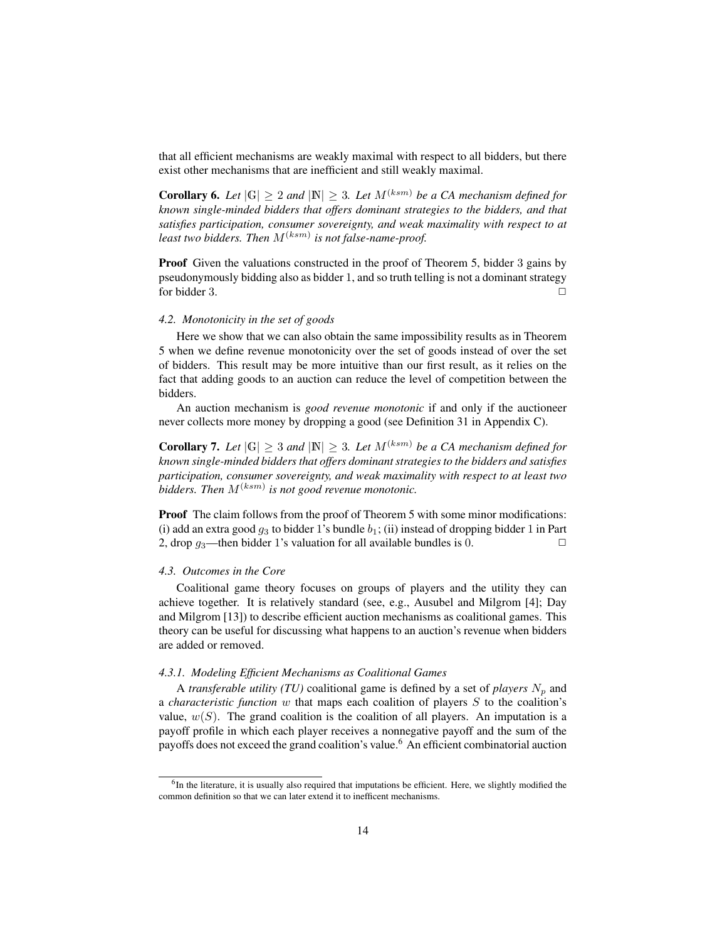that all efficient mechanisms are weakly maximal with respect to all bidders, but there exist other mechanisms that are inefficient and still weakly maximal.

**Corollary 6.** Let  $|\mathbb{G}| \geq 2$  and  $|\mathbb{N}| \geq 3$ . Let  $M^{(ksm)}$  be a CA mechanism defined for *known single-minded bidders that offers dominant strategies to the bidders, and that satisfies participation, consumer sovereignty, and weak maximality with respect to at* least two bidders. Then  $M^{(ksm)}$  is not false-name-proof.

Proof Given the valuations constructed in the proof of Theorem 5, bidder 3 gains by pseudonymously bidding also as bidder 1, and so truth telling is not a dominant strategy for bidder 3.  $\Box$ 

## *4.2. Monotonicity in the set of goods*

Here we show that we can also obtain the same impossibility results as in Theorem 5 when we define revenue monotonicity over the set of goods instead of over the set of bidders. This result may be more intuitive than our first result, as it relies on the fact that adding goods to an auction can reduce the level of competition between the bidders.

An auction mechanism is *good revenue monotonic* if and only if the auctioneer never collects more money by dropping a good (see Definition 31 in Appendix C).

**Corollary 7.** Let  $|\mathbb{G}| \geq 3$  and  $|\mathbb{N}| \geq 3$ . Let  $M^{(ksm)}$  be a CA mechanism defined for *known single-minded bidders that offers dominant strategies to the bidders and satisfies participation, consumer sovereignty, and weak maximality with respect to at least two* bidders. Then  $M^{(ksm)}$  is not good revenue monotonic.

Proof The claim follows from the proof of Theorem 5 with some minor modifications: (i) add an extra good  $g_3$  to bidder 1's bundle  $b_1$ ; (ii) instead of dropping bidder 1 in Part 2, drop  $g_3$ —then bidder 1's valuation for all available bundles is 0.  $\Box$ 

#### *4.3. Outcomes in the Core*

Coalitional game theory focuses on groups of players and the utility they can achieve together. It is relatively standard (see, e.g., Ausubel and Milgrom [4]; Day and Milgrom [13]) to describe efficient auction mechanisms as coalitional games. This theory can be useful for discussing what happens to an auction's revenue when bidders are added or removed.

# *4.3.1. Modeling Efficient Mechanisms as Coalitional Games*

A *transferable utility (TU)* coalitional game is defined by a set of *players*  $N_p$  and a *characteristic function* w that maps each coalition of players S to the coalition's value,  $w(S)$ . The grand coalition is the coalition of all players. An imputation is a payoff profile in which each player receives a nonnegative payoff and the sum of the payoffs does not exceed the grand coalition's value.<sup>6</sup> An efficient combinatorial auction

<sup>&</sup>lt;sup>6</sup>In the literature, it is usually also required that imputations be efficient. Here, we slightly modified the common definition so that we can later extend it to inefficent mechanisms.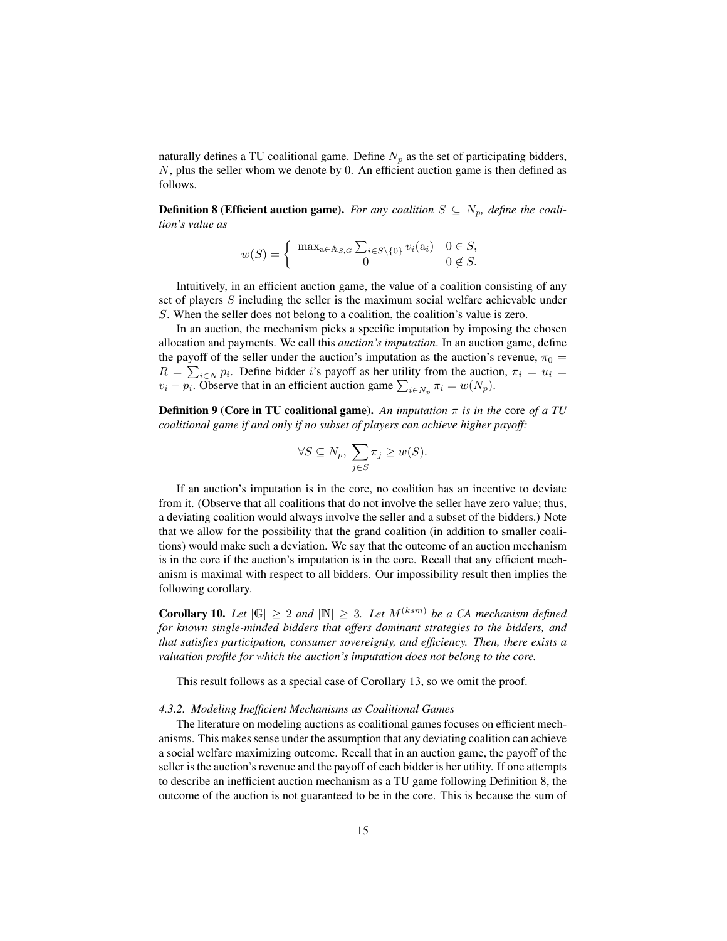naturally defines a TU coalitional game. Define  $N_p$  as the set of participating bidders, N, plus the seller whom we denote by 0. An efficient auction game is then defined as follows.

**Definition 8 (Efficient auction game).** *For any coalition*  $S \subseteq N_p$ *, define the coalition's value as*

$$
w(S) = \begin{cases} \max_{a \in A_{S,G}} \sum_{i \in S \setminus \{0\}} v_i(a_i) & 0 \in S, \\ 0 & 0 \notin S. \end{cases}
$$

Intuitively, in an efficient auction game, the value of a coalition consisting of any set of players S including the seller is the maximum social welfare achievable under S. When the seller does not belong to a coalition, the coalition's value is zero.

In an auction, the mechanism picks a specific imputation by imposing the chosen allocation and payments. We call this *auction's imputation*. In an auction game, define the payoff of the seller under the auction's imputation as the auction's revenue,  $\pi_0 =$  $R = \sum_{i \in N} p_i$ . Define bidder i's payoff as her utility from the auction,  $\pi_i = u_i$  $v_i - p_i$ . Observe that in an efficient auction game  $\sum_{i \in N_p} \pi_i = w(N_p)$ .

Definition 9 (Core in TU coalitional game). *An imputation* π *is in the* core *of a TU coalitional game if and only if no subset of players can achieve higher payoff:*

$$
\forall S \subseteq N_p, \ \sum_{j \in S} \pi_j \ge w(S).
$$

If an auction's imputation is in the core, no coalition has an incentive to deviate from it. (Observe that all coalitions that do not involve the seller have zero value; thus, a deviating coalition would always involve the seller and a subset of the bidders.) Note that we allow for the possibility that the grand coalition (in addition to smaller coalitions) would make such a deviation. We say that the outcome of an auction mechanism is in the core if the auction's imputation is in the core. Recall that any efficient mechanism is maximal with respect to all bidders. Our impossibility result then implies the following corollary.

**Corollary 10.** *Let*  $|G| \geq 2$  *and*  $|N| \geq 3$ *. Let*  $M^{(ksm)}$  *be a CA mechanism defined for known single-minded bidders that offers dominant strategies to the bidders, and that satisfies participation, consumer sovereignty, and efficiency. Then, there exists a valuation profile for which the auction's imputation does not belong to the core.*

This result follows as a special case of Corollary 13, so we omit the proof.

#### *4.3.2. Modeling Inefficient Mechanisms as Coalitional Games*

The literature on modeling auctions as coalitional games focuses on efficient mechanisms. This makes sense under the assumption that any deviating coalition can achieve a social welfare maximizing outcome. Recall that in an auction game, the payoff of the seller is the auction's revenue and the payoff of each bidder is her utility. If one attempts to describe an inefficient auction mechanism as a TU game following Definition 8, the outcome of the auction is not guaranteed to be in the core. This is because the sum of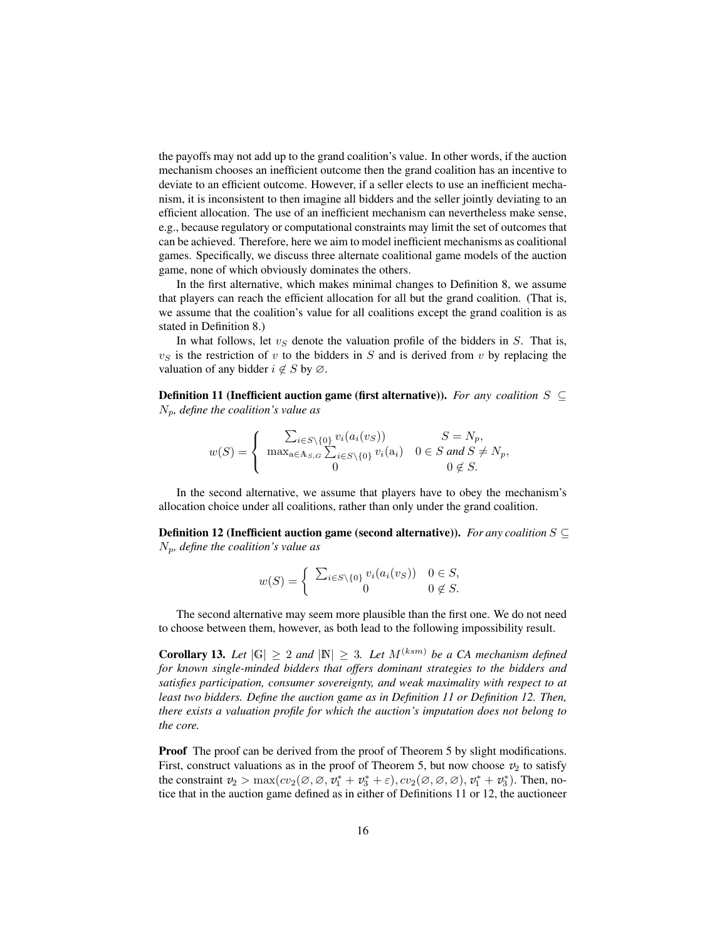the payoffs may not add up to the grand coalition's value. In other words, if the auction mechanism chooses an inefficient outcome then the grand coalition has an incentive to deviate to an efficient outcome. However, if a seller elects to use an inefficient mechanism, it is inconsistent to then imagine all bidders and the seller jointly deviating to an efficient allocation. The use of an inefficient mechanism can nevertheless make sense, e.g., because regulatory or computational constraints may limit the set of outcomes that can be achieved. Therefore, here we aim to model inefficient mechanisms as coalitional games. Specifically, we discuss three alternate coalitional game models of the auction game, none of which obviously dominates the others.

In the first alternative, which makes minimal changes to Definition 8, we assume that players can reach the efficient allocation for all but the grand coalition. (That is, we assume that the coalition's value for all coalitions except the grand coalition is as stated in Definition 8.)

In what follows, let  $v<sub>S</sub>$  denote the valuation profile of the bidders in S. That is,  $v<sub>S</sub>$  is the restriction of v to the bidders in S and is derived from v by replacing the valuation of any bidder  $i \notin S$  by  $\varnothing$ .

Definition 11 (Inefficient auction game (first alternative)). *For any coalition* S ⊆  $N_p$ , define the coalition's value as

$$
w(S) = \begin{cases} \sum_{i \in S \setminus \{0\}} v_i(a_i(v_S)) & S = N_p, \\ \max_{a \in A_{S,G}} \sum_{i \in S \setminus \{0\}} v_i(a_i) & 0 \in S \text{ and } S \neq N_p, \\ 0 & 0 \notin S. \end{cases}
$$

In the second alternative, we assume that players have to obey the mechanism's allocation choice under all coalitions, rather than only under the grand coalition.

Definition 12 (Inefficient auction game (second alternative)). *For any coalition* S ⊆ Np*, define the coalition's value as*

$$
w(S) = \begin{cases} \sum_{i \in S \setminus \{0\}} v_i(a_i(v_S)) & 0 \in S, \\ 0 & 0 \notin S. \end{cases}
$$

The second alternative may seem more plausible than the first one. We do not need to choose between them, however, as both lead to the following impossibility result.

**Corollary 13.** Let  $|\mathbb{G}| \geq 2$  and  $|\mathbb{N}| \geq 3$ . Let  $M^{(ksm)}$  be a CA mechanism defined *for known single-minded bidders that offers dominant strategies to the bidders and satisfies participation, consumer sovereignty, and weak maximality with respect to at least two bidders. Define the auction game as in Definition 11 or Definition 12. Then, there exists a valuation profile for which the auction's imputation does not belong to the core.*

Proof The proof can be derived from the proof of Theorem 5 by slight modifications. First, construct valuations as in the proof of Theorem 5, but now choose  $v_2$  to satisfy the constraint  $v_2 > \max(cv_2(\emptyset, \emptyset, v_1^* + v_3^* + \varepsilon), cv_2(\emptyset, \emptyset, \emptyset), v_1^* + v_3^*).$  Then, notice that in the auction game defined as in either of Definitions 11 or 12, the auctioneer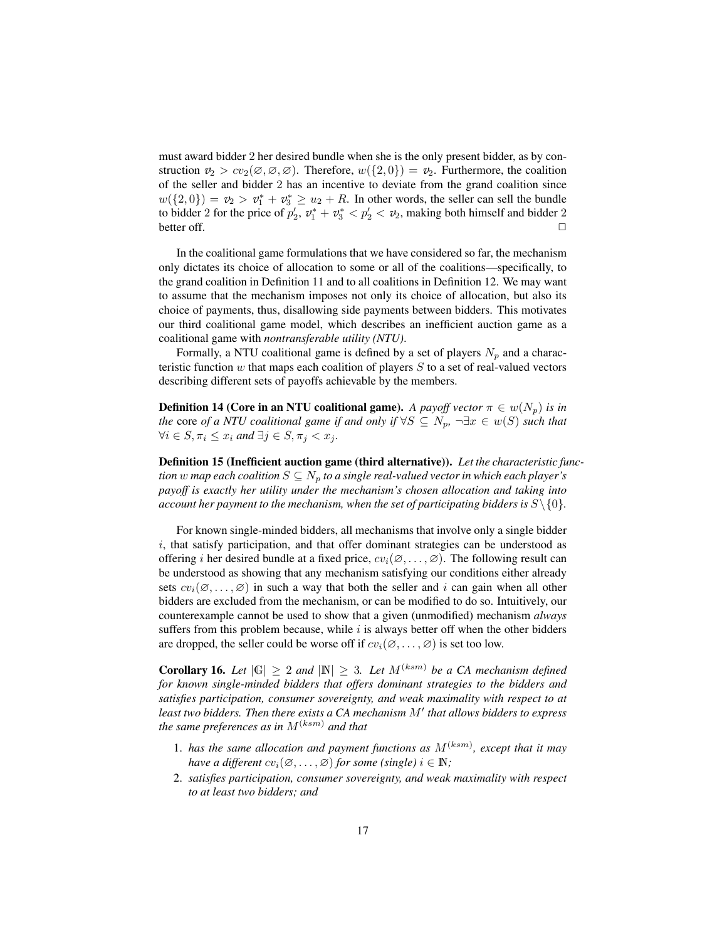must award bidder 2 her desired bundle when she is the only present bidder, as by construction  $v_2 > cv_2(\emptyset, \emptyset, \emptyset)$ . Therefore,  $w(\{2,0\}) = v_2$ . Furthermore, the coalition of the seller and bidder 2 has an incentive to deviate from the grand coalition since  $w({2,0}) = v_2 > v_1^* + v_3^* \geq u_2 + R$ . In other words, the seller can sell the bundle to bidder 2 for the price of  $p'_2$ ,  $v_1^* + v_3^* < p'_2 < v_2$ , making both himself and bidder 2 better off.  $\Box$ 

In the coalitional game formulations that we have considered so far, the mechanism only dictates its choice of allocation to some or all of the coalitions—specifically, to the grand coalition in Definition 11 and to all coalitions in Definition 12. We may want to assume that the mechanism imposes not only its choice of allocation, but also its choice of payments, thus, disallowing side payments between bidders. This motivates our third coalitional game model, which describes an inefficient auction game as a coalitional game with *nontransferable utility (NTU)*.

Formally, a NTU coalitional game is defined by a set of players  $N_p$  and a characteristic function  $w$  that maps each coalition of players  $S$  to a set of real-valued vectors describing different sets of payoffs achievable by the members.

**Definition 14 (Core in an NTU coalitional game).** *A payoff vector*  $\pi \in w(N_p)$  *is in the* core *of a NTU coalitional game if and only if*  $\forall S \subseteq N_p$ ,  $\neg \exists x \in w(S)$  *such that*  $\forall i \in S, \pi_i \leq x_i$  and  $\exists j \in S, \pi_j < x_j$ .

Definition 15 (Inefficient auction game (third alternative)). *Let the characteristic function* w map each coalition  $S \subseteq N_n$  to a single real-valued vector in which each player's *payoff is exactly her utility under the mechanism's chosen allocation and taking into account her payment to the mechanism, when the set of participating bidders is*  $S \setminus \{0\}$ .

For known single-minded bidders, all mechanisms that involve only a single bidder i, that satisfy participation, and that offer dominant strategies can be understood as offering i her desired bundle at a fixed price,  $cv_i(\emptyset, \dots, \emptyset)$ . The following result can be understood as showing that any mechanism satisfying our conditions either already sets  $cv_i(\emptyset, \ldots, \emptyset)$  in such a way that both the seller and i can gain when all other bidders are excluded from the mechanism, or can be modified to do so. Intuitively, our counterexample cannot be used to show that a given (unmodified) mechanism *always* suffers from this problem because, while  $i$  is always better off when the other bidders are dropped, the seller could be worse off if  $cv_i(\emptyset, \dots, \emptyset)$  is set too low.

**Corollary 16.** *Let*  $|G| \geq 2$  *and*  $|N| \geq 3$ *. Let*  $M^{(ksm)}$  *be a CA mechanism defined for known single-minded bidders that offers dominant strategies to the bidders and satisfies participation, consumer sovereignty, and weak maximality with respect to at* least two bidders. Then there exists a CA mechanism M' that allows bidders to express *the same preferences as in*  $M^{(ksm)}$  *and that* 

- 1. has the same allocation and payment functions as  $M^{(ksm)}$ , except that it may *have a different*  $cv_i(\emptyset, \dots, \emptyset)$  *for some (single)*  $i \in \mathbb{N}$ ;
- 2. *satisfies participation, consumer sovereignty, and weak maximality with respect to at least two bidders; and*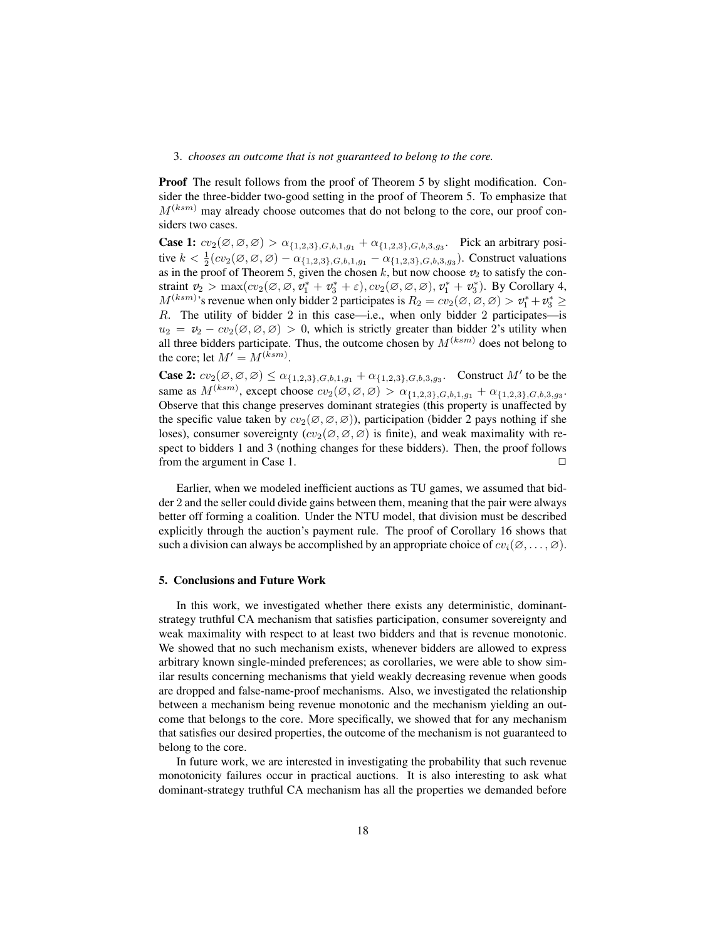#### 3. *chooses an outcome that is not guaranteed to belong to the core.*

Proof The result follows from the proof of Theorem 5 by slight modification. Consider the three-bidder two-good setting in the proof of Theorem 5. To emphasize that  $M^{(ksm)}$  may already choose outcomes that do not belong to the core, our proof considers two cases.

**Case 1:**  $cv_2(\emptyset, \emptyset, \emptyset) > \alpha_{\{1,2,3\},G,b,1,g_1} + \alpha_{\{1,2,3\},G,b,3,g_3}$ . Pick an arbitrary positive  $k < \frac{1}{2}(cv_2(\emptyset, \emptyset, \emptyset) - \alpha_{\{1,2,3\},G,b,1,g_1} - \alpha_{\{1,2,3\},G,b,3,g_3})$ . Construct valuations as in the proof of Theorem 5, given the chosen  $k$ , but now choose  $v_2$  to satisfy the constraint  $v_2 > \max(cv_2(\emptyset, \emptyset, v_1^* + v_3^* + \varepsilon), cv_2(\emptyset, \emptyset, \emptyset), v_1^* + v_3^*$ ). By Corollary 4,  $M^{(ksm)}$ 's revenue when only bidder 2 participates is  $R_2 = cv_2(\emptyset, \emptyset, \emptyset) > v_1^* + v_3^* \geq$ R. The utility of bidder 2 in this case—i.e., when only bidder 2 participates—is  $u_2 = v_2 - cv_2(\emptyset, \emptyset, \emptyset) > 0$ , which is strictly greater than bidder 2's utility when all three bidders participate. Thus, the outcome chosen by  $M^{(ksm)}$  does not belong to the core; let  $M' = M^{(ksm)}$ .

**Case 2:**  $cv_2(\emptyset, \emptyset, \emptyset) \leq \alpha_{\{1,2,3\},G,b,1,g_1} + \alpha_{\{1,2,3\},G,b,3,g_3}$ . Construct M' to be the same as  $M^{(ksm)}$ , except choose  $cv_2(\emptyset, \emptyset, \emptyset) > \alpha_{\{1,2,3\},G,b,1,g_1} + \alpha_{\{1,2,3\},G,b,3,g_3}$ . Observe that this change preserves dominant strategies (this property is unaffected by the specific value taken by  $cv_2(\emptyset, \emptyset, \emptyset)$ , participation (bidder 2 pays nothing if she loses), consumer sovereignty  $(cv_2(\emptyset, \emptyset, \emptyset))$  is finite), and weak maximality with respect to bidders 1 and 3 (nothing changes for these bidders). Then, the proof follows from the argument in Case 1.  $\Box$ 

Earlier, when we modeled inefficient auctions as TU games, we assumed that bidder 2 and the seller could divide gains between them, meaning that the pair were always better off forming a coalition. Under the NTU model, that division must be described explicitly through the auction's payment rule. The proof of Corollary 16 shows that such a division can always be accomplished by an appropriate choice of  $cv_i(\emptyset, \dots, \emptyset)$ .

#### 5. Conclusions and Future Work

In this work, we investigated whether there exists any deterministic, dominantstrategy truthful CA mechanism that satisfies participation, consumer sovereignty and weak maximality with respect to at least two bidders and that is revenue monotonic. We showed that no such mechanism exists, whenever bidders are allowed to express arbitrary known single-minded preferences; as corollaries, we were able to show similar results concerning mechanisms that yield weakly decreasing revenue when goods are dropped and false-name-proof mechanisms. Also, we investigated the relationship between a mechanism being revenue monotonic and the mechanism yielding an outcome that belongs to the core. More specifically, we showed that for any mechanism that satisfies our desired properties, the outcome of the mechanism is not guaranteed to belong to the core.

In future work, we are interested in investigating the probability that such revenue monotonicity failures occur in practical auctions. It is also interesting to ask what dominant-strategy truthful CA mechanism has all the properties we demanded before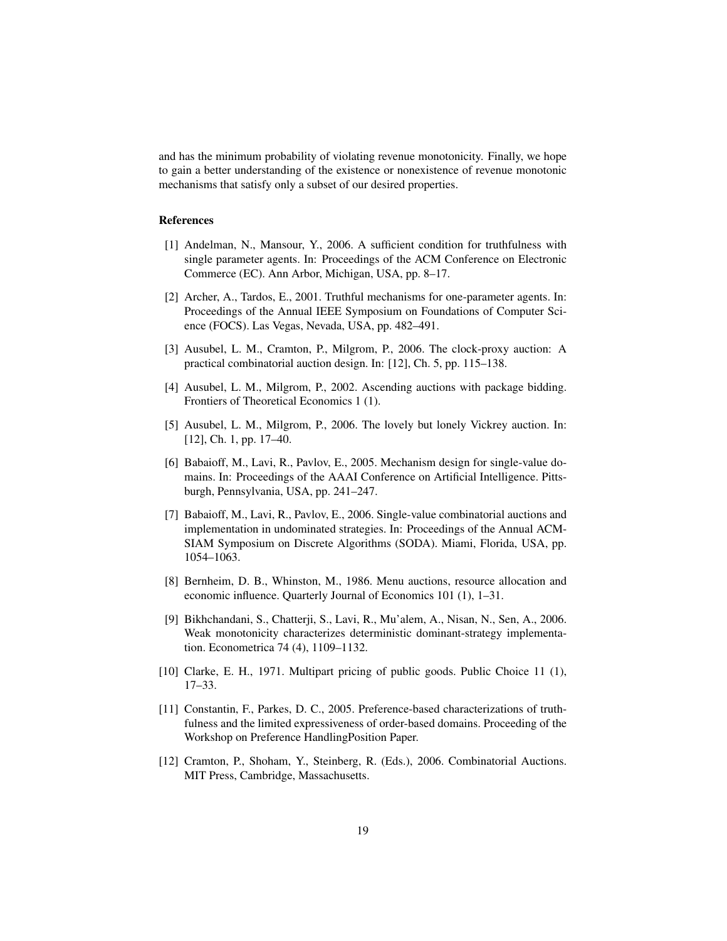and has the minimum probability of violating revenue monotonicity. Finally, we hope to gain a better understanding of the existence or nonexistence of revenue monotonic mechanisms that satisfy only a subset of our desired properties.

## References

- [1] Andelman, N., Mansour, Y., 2006. A sufficient condition for truthfulness with single parameter agents. In: Proceedings of the ACM Conference on Electronic Commerce (EC). Ann Arbor, Michigan, USA, pp. 8–17.
- [2] Archer, A., Tardos, E., 2001. Truthful mechanisms for one-parameter agents. In: Proceedings of the Annual IEEE Symposium on Foundations of Computer Science (FOCS). Las Vegas, Nevada, USA, pp. 482–491.
- [3] Ausubel, L. M., Cramton, P., Milgrom, P., 2006. The clock-proxy auction: A practical combinatorial auction design. In: [12], Ch. 5, pp. 115–138.
- [4] Ausubel, L. M., Milgrom, P., 2002. Ascending auctions with package bidding. Frontiers of Theoretical Economics 1 (1).
- [5] Ausubel, L. M., Milgrom, P., 2006. The lovely but lonely Vickrey auction. In: [12], Ch. 1, pp. 17–40.
- [6] Babaioff, M., Lavi, R., Pavlov, E., 2005. Mechanism design for single-value domains. In: Proceedings of the AAAI Conference on Artificial Intelligence. Pittsburgh, Pennsylvania, USA, pp. 241–247.
- [7] Babaioff, M., Lavi, R., Pavlov, E., 2006. Single-value combinatorial auctions and implementation in undominated strategies. In: Proceedings of the Annual ACM-SIAM Symposium on Discrete Algorithms (SODA). Miami, Florida, USA, pp. 1054–1063.
- [8] Bernheim, D. B., Whinston, M., 1986. Menu auctions, resource allocation and economic influence. Quarterly Journal of Economics 101 (1), 1–31.
- [9] Bikhchandani, S., Chatterji, S., Lavi, R., Mu'alem, A., Nisan, N., Sen, A., 2006. Weak monotonicity characterizes deterministic dominant-strategy implementation. Econometrica 74 (4), 1109–1132.
- [10] Clarke, E. H., 1971. Multipart pricing of public goods. Public Choice 11 (1), 17–33.
- [11] Constantin, F., Parkes, D. C., 2005. Preference-based characterizations of truthfulness and the limited expressiveness of order-based domains. Proceeding of the Workshop on Preference HandlingPosition Paper.
- [12] Cramton, P., Shoham, Y., Steinberg, R. (Eds.), 2006. Combinatorial Auctions. MIT Press, Cambridge, Massachusetts.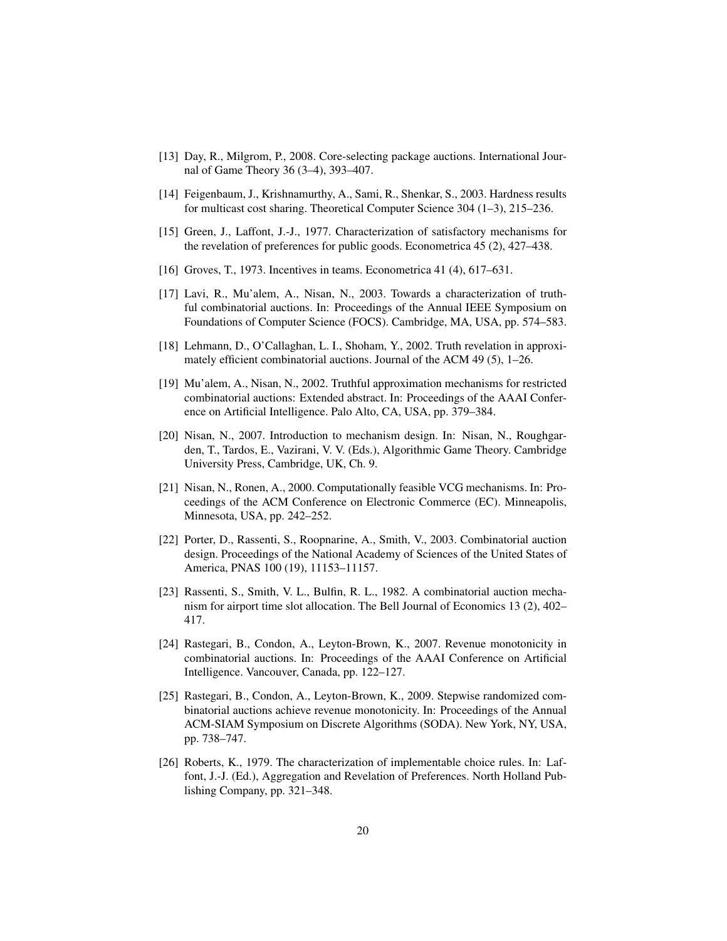- [13] Day, R., Milgrom, P., 2008. Core-selecting package auctions. International Journal of Game Theory 36 (3–4), 393–407.
- [14] Feigenbaum, J., Krishnamurthy, A., Sami, R., Shenkar, S., 2003. Hardness results for multicast cost sharing. Theoretical Computer Science 304 (1–3), 215–236.
- [15] Green, J., Laffont, J.-J., 1977. Characterization of satisfactory mechanisms for the revelation of preferences for public goods. Econometrica 45 (2), 427–438.
- [16] Groves, T., 1973. Incentives in teams. Econometrica 41 (4), 617–631.
- [17] Lavi, R., Mu'alem, A., Nisan, N., 2003. Towards a characterization of truthful combinatorial auctions. In: Proceedings of the Annual IEEE Symposium on Foundations of Computer Science (FOCS). Cambridge, MA, USA, pp. 574–583.
- [18] Lehmann, D., O'Callaghan, L. I., Shoham, Y., 2002. Truth revelation in approximately efficient combinatorial auctions. Journal of the ACM 49 (5), 1–26.
- [19] Mu'alem, A., Nisan, N., 2002. Truthful approximation mechanisms for restricted combinatorial auctions: Extended abstract. In: Proceedings of the AAAI Conference on Artificial Intelligence. Palo Alto, CA, USA, pp. 379–384.
- [20] Nisan, N., 2007. Introduction to mechanism design. In: Nisan, N., Roughgarden, T., Tardos, E., Vazirani, V. V. (Eds.), Algorithmic Game Theory. Cambridge University Press, Cambridge, UK, Ch. 9.
- [21] Nisan, N., Ronen, A., 2000. Computationally feasible VCG mechanisms. In: Proceedings of the ACM Conference on Electronic Commerce (EC). Minneapolis, Minnesota, USA, pp. 242–252.
- [22] Porter, D., Rassenti, S., Roopnarine, A., Smith, V., 2003. Combinatorial auction design. Proceedings of the National Academy of Sciences of the United States of America, PNAS 100 (19), 11153–11157.
- [23] Rassenti, S., Smith, V. L., Bulfin, R. L., 1982. A combinatorial auction mechanism for airport time slot allocation. The Bell Journal of Economics 13 (2), 402– 417.
- [24] Rastegari, B., Condon, A., Leyton-Brown, K., 2007. Revenue monotonicity in combinatorial auctions. In: Proceedings of the AAAI Conference on Artificial Intelligence. Vancouver, Canada, pp. 122–127.
- [25] Rastegari, B., Condon, A., Leyton-Brown, K., 2009. Stepwise randomized combinatorial auctions achieve revenue monotonicity. In: Proceedings of the Annual ACM-SIAM Symposium on Discrete Algorithms (SODA). New York, NY, USA, pp. 738–747.
- [26] Roberts, K., 1979. The characterization of implementable choice rules. In: Laffont, J.-J. (Ed.), Aggregation and Revelation of Preferences. North Holland Publishing Company, pp. 321–348.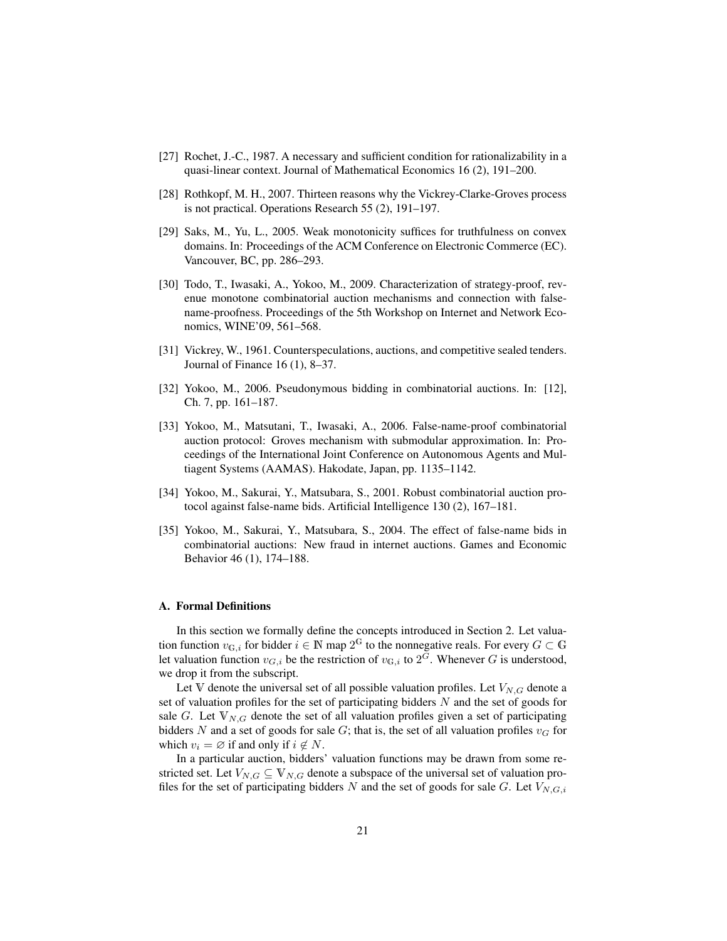- [27] Rochet, J.-C., 1987. A necessary and sufficient condition for rationalizability in a quasi-linear context. Journal of Mathematical Economics 16 (2), 191–200.
- [28] Rothkopf, M. H., 2007. Thirteen reasons why the Vickrey-Clarke-Groves process is not practical. Operations Research 55 (2), 191–197.
- [29] Saks, M., Yu, L., 2005. Weak monotonicity suffices for truthfulness on convex domains. In: Proceedings of the ACM Conference on Electronic Commerce (EC). Vancouver, BC, pp. 286–293.
- [30] Todo, T., Iwasaki, A., Yokoo, M., 2009. Characterization of strategy-proof, revenue monotone combinatorial auction mechanisms and connection with falsename-proofness. Proceedings of the 5th Workshop on Internet and Network Economics, WINE'09, 561–568.
- [31] Vickrey, W., 1961. Counterspeculations, auctions, and competitive sealed tenders. Journal of Finance 16 (1), 8–37.
- [32] Yokoo, M., 2006. Pseudonymous bidding in combinatorial auctions. In: [12], Ch. 7, pp. 161–187.
- [33] Yokoo, M., Matsutani, T., Iwasaki, A., 2006. False-name-proof combinatorial auction protocol: Groves mechanism with submodular approximation. In: Proceedings of the International Joint Conference on Autonomous Agents and Multiagent Systems (AAMAS). Hakodate, Japan, pp. 1135–1142.
- [34] Yokoo, M., Sakurai, Y., Matsubara, S., 2001. Robust combinatorial auction protocol against false-name bids. Artificial Intelligence 130 (2), 167–181.
- [35] Yokoo, M., Sakurai, Y., Matsubara, S., 2004. The effect of false-name bids in combinatorial auctions: New fraud in internet auctions. Games and Economic Behavior 46 (1), 174–188.

## A. Formal Definitions

In this section we formally define the concepts introduced in Section 2. Let valuation function  $v_{\mathbb{G},i}$  for bidder  $i \in \mathbb{N}$  map  $2^{\mathbb{G}}$  to the nonnegative reals. For every  $G \subset \mathbb{G}$ let valuation function  $v_{G,i}$  be the restriction of  $v_{G,i}$  to  $2^G$ . Whenever G is understood, we drop it from the subscript.

Let V denote the universal set of all possible valuation profiles. Let  $V_{N,G}$  denote a set of valuation profiles for the set of participating bidders  $N$  and the set of goods for sale G. Let  $V_{N,G}$  denote the set of all valuation profiles given a set of participating bidders N and a set of goods for sale G; that is, the set of all valuation profiles  $v_G$  for which  $v_i = \emptyset$  if and only if  $i \notin N$ .

In a particular auction, bidders' valuation functions may be drawn from some restricted set. Let  $V_{N,G} \subseteq V_{N,G}$  denote a subspace of the universal set of valuation profiles for the set of participating bidders  $N$  and the set of goods for sale  $G$ . Let  $V_{N,G,i}$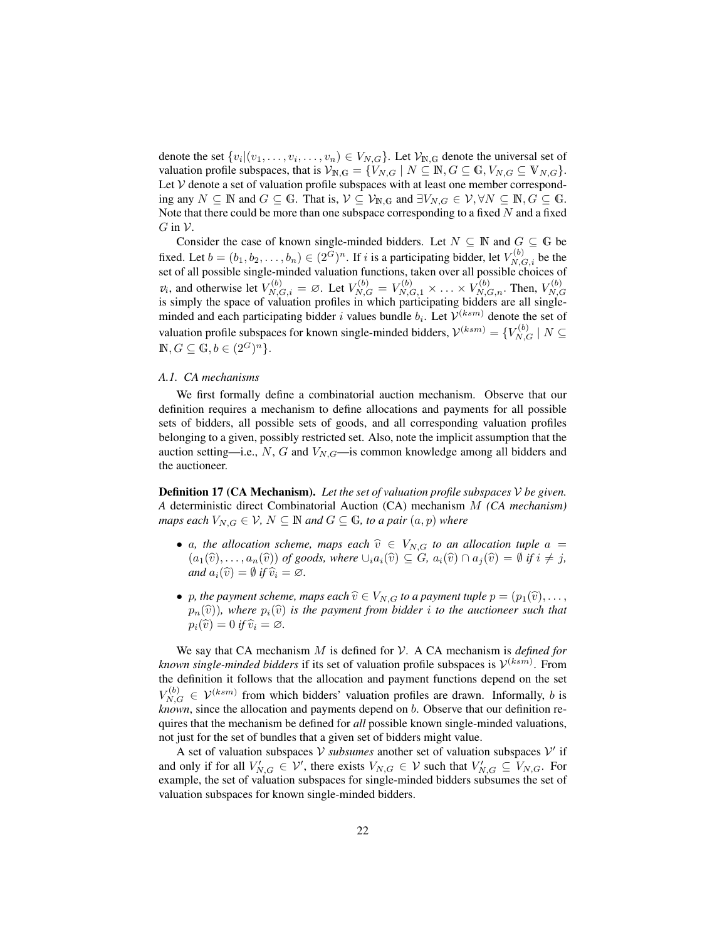denote the set  $\{v_i|(v_1,\ldots,v_i,\ldots,v_n) \in V_{N,G}\}$ . Let  $\mathcal{V}_{N,G}$  denote the universal set of valuation profile subspaces, that is  $\mathcal{V}_{N,G} = \{V_{N,G} \mid N \subseteq \mathbb{N}, G \subseteq \mathbb{G}, V_{N,G} \subseteq \mathbb{V}_{N,G}\}.$ Let  $V$  denote a set of valuation profile subspaces with at least one member corresponding any  $N \subseteq \mathbb{N}$  and  $G \subseteq \mathbb{G}$ . That is,  $\mathcal{V} \subseteq \mathcal{V}_{\mathbb{N},\mathbb{G}}$  and  $\exists V_{N,G} \in \mathcal{V}, \forall N \subseteq \mathbb{N}, G \subseteq \mathbb{G}$ . Note that there could be more than one subspace corresponding to a fixed  $N$  and a fixed  $G$  in  $\mathcal V$ .

Consider the case of known single-minded bidders. Let  $N \subseteq \mathbb{N}$  and  $G \subseteq \mathbb{G}$  be fixed. Let  $b = (b_1, b_2, \dots, b_n) \in (2^G)^n$ . If i is a participating bidder, let  $V_{N,G,i}^{(b)}$  be the set of all possible single-minded valuation functions, taken over all possible choices of  $v_i$ , and otherwise let  $V_{N,G,i}^{(b)} = \emptyset$ . Let  $V_{N,G}^{(b)} = V_{N,G,1}^{(b)} \times \ldots \times V_{N,G,n}^{(b)}$ . Then,  $V_{N,G}^{(b)}$  $v_i$ , and otherwise for  $v_{N,G,i} - \Sigma$ . Ext  $v_{N,G} - v_{N,G,1} \wedge \cdots \wedge v_{N,G,n}$ . Then,  $v_{N,G}$ <br>is simply the space of valuation profiles in which participating bidders are all singleminded and each participating bidder i values bundle  $b_i$ . Let  $\mathcal{V}^{(ksm)}$  denote the set of valuation profile subspaces for known single-minded bidders,  $\mathcal{V}^{(ksm)} = \{V_{N,G}^{(b)} | N \subseteq$  $\mathbb{N}, G \subseteq \mathbb{G}, b \in (2^G)^n$ .

#### *A.1. CA mechanisms*

We first formally define a combinatorial auction mechanism. Observe that our definition requires a mechanism to define allocations and payments for all possible sets of bidders, all possible sets of goods, and all corresponding valuation profiles belonging to a given, possibly restricted set. Also, note the implicit assumption that the auction setting—i.e., N, G and  $V_{N,G}$ —is common knowledge among all bidders and the auctioneer.

Definition 17 (CA Mechanism). *Let the set of valuation profile subspaces* V *be given. A* deterministic direct Combinatorial Auction (CA) mechanism M *(CA mechanism) maps each*  $V_{N,G} \in V$ ,  $N \subseteq \mathbb{N}$  *and*  $G \subseteq \mathbb{G}$ *, to a pair*  $(a, p)$  *where* 

- a, the allocation scheme, maps each  $\hat{v} \in V_{N,G}$  to an allocation tuple  $a =$  $(a_1(\widehat{v}), \ldots, a_n(\widehat{v}))$  *of goods, where*  $\cup_i a_i(\widehat{v}) \subseteq G$ *,*  $a_i(\widehat{v}) \cap a_j(\widehat{v}) = \emptyset$  *if*  $i \neq j$ *, and*  $a_i(\widehat{v}) = \emptyset$  *if*  $\widehat{v}_i = \emptyset$ *.*
- p, the payment scheme, maps each  $\hat{v} \in V_{N,G}$  to a payment tuple  $p = (p_1(\hat{v}), \ldots,$  $p_n(\hat{v})$ ), where  $p_i(\hat{v})$  *is the payment from bidder i to the auctioneer such that*  $p_i(\widehat{v}) = 0$  *if*  $\widehat{v}_i = \emptyset$ *.*

We say that CA mechanism M is defined for V. A CA mechanism is *defined for known single-minded bidders* if its set of valuation profile subspaces is  $\mathcal{V}^{(ksm)}$ . From the definition it follows that the allocation and payment functions depend on the set  $V_{N,G}^{(b)} \in \mathcal{V}^{(ksm)}$  from which bidders' valuation profiles are drawn. Informally, b is *known*, since the allocation and payments depend on b. Observe that our definition requires that the mechanism be defined for *all* possible known single-minded valuations, not just for the set of bundles that a given set of bidders might value.

A set of valuation subspaces  $V$  subsumes another set of valuation subspaces  $V'$  if and only if for all  $V'_{N,G} \in V'$ , there exists  $V_{N,G} \in V$  such that  $V'_{N,G} \subseteq V_{N,G}$ . For example, the set of valuation subspaces for single-minded bidders subsumes the set of valuation subspaces for known single-minded bidders.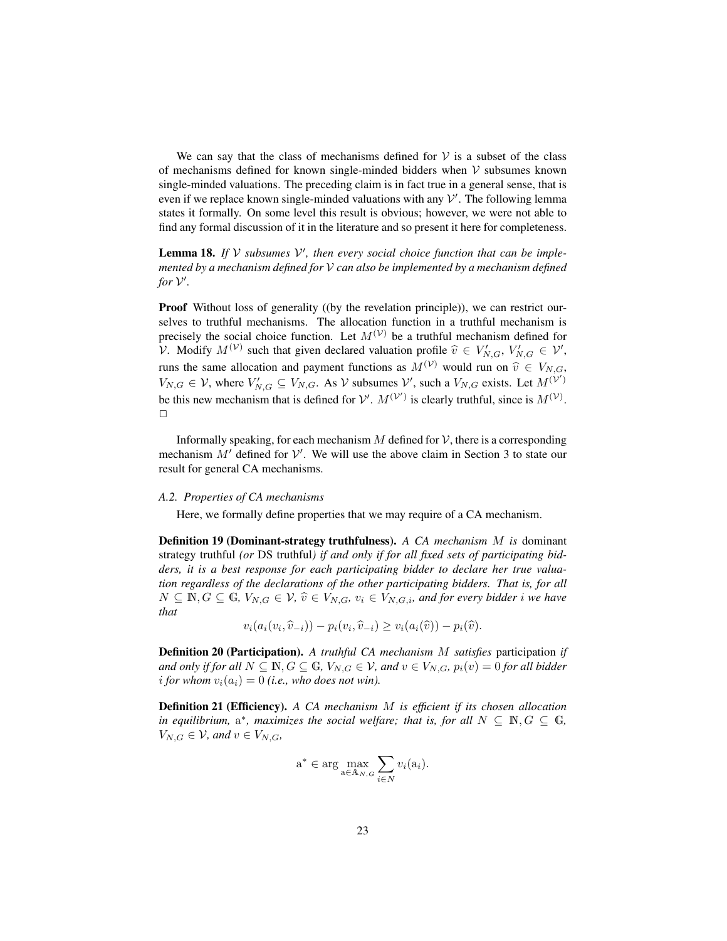We can say that the class of mechanisms defined for  $V$  is a subset of the class of mechanisms defined for known single-minded bidders when  $V$  subsumes known single-minded valuations. The preceding claim is in fact true in a general sense, that is even if we replace known single-minded valuations with any  $\mathcal{V}'$ . The following lemma states it formally. On some level this result is obvious; however, we were not able to find any formal discussion of it in the literature and so present it here for completeness.

**Lemma 18.** If  $V$  subsumes  $V'$ , then every social choice function that can be imple*mented by a mechanism defined for* V *can also be implemented by a mechanism defined* for  $V'$ .

Proof Without loss of generality ((by the revelation principle)), we can restrict ourselves to truthful mechanisms. The allocation function in a truthful mechanism is precisely the social choice function. Let  $M^{(\mathcal{V})}$  be a truthful mechanism defined for V. Modify  $M^{(\mathcal{V})}$  such that given declared valuation profile  $\hat{v} \in V'_{N,G}, V'_{N,G} \in \mathcal{V}'$ , runs the same allocation and payment functions as  $M^{(\mathcal{V})}$  would run on  $\hat{v} \in V_{N,G}$ ,  $V_{N,G} \in \mathcal{V}$ , where  $V'_{N,G} \subseteq V_{N,G}$ . As  $\mathcal{V}$  subsumes  $\mathcal{V}'$ , such a  $V_{N,G}$  exists. Let  $M^{(\mathcal{V}')}$ be this new mechanism that is defined for  $V'$ .  $M^{(V')}$  is clearly truthful, since is  $M^{(V)}$ .  $\Box$ 

Informally speaking, for each mechanism M defined for  $\mathcal V$ , there is a corresponding mechanism  $M'$  defined for  $V'$ . We will use the above claim in Section 3 to state our result for general CA mechanisms.

#### *A.2. Properties of CA mechanisms*

Here, we formally define properties that we may require of a CA mechanism.

Definition 19 (Dominant-strategy truthfulness). *A CA mechanism* M *is* dominant strategy truthful *(or* DS truthful*) if and only if for all fixed sets of participating bidders, it is a best response for each participating bidder to declare her true valuation regardless of the declarations of the other participating bidders. That is, for all*  $N ⊆ N, G ⊆ G, V_{N,G} ∈ V, \hat{v} ∈ V_{N,G}, v_i ∈ V_{N,G,i}$ *, and for every bidder i we have that*

$$
v_i(a_i(v_i,\widehat{v}_{-i})) - p_i(v_i,\widehat{v}_{-i}) \ge v_i(a_i(\widehat{v})) - p_i(\widehat{v}).
$$

Definition 20 (Participation). *A truthful CA mechanism* M *satisfies* participation *if and only if for all*  $N \subseteq \mathbb{N}, G \subseteq \mathbb{G}, V_{N,G} \in V$ *, and*  $v \in V_{N,G}$ *,*  $p_i(v) = 0$  *for all bidder i* for whom  $v_i(a_i) = 0$  (*i.e., who does not win*).

Definition 21 (Efficiency). *A CA mechanism* M *is efficient if its chosen allocation in equilibrium,*  $a^*$ *, maximizes the social welfare; that is, for all*  $N \subseteq \mathbb{N}, G \subseteq \mathbb{G}$ *,*  $V_{N,G} \in \mathcal{V}$ , and  $v \in V_{N,G}$ ,

$$
\mathbf{a}^* \in \arg \max_{\mathbf{a} \in \mathcal{A}_{N,G}} \sum_{i \in N} v_i(\mathbf{a}_i).
$$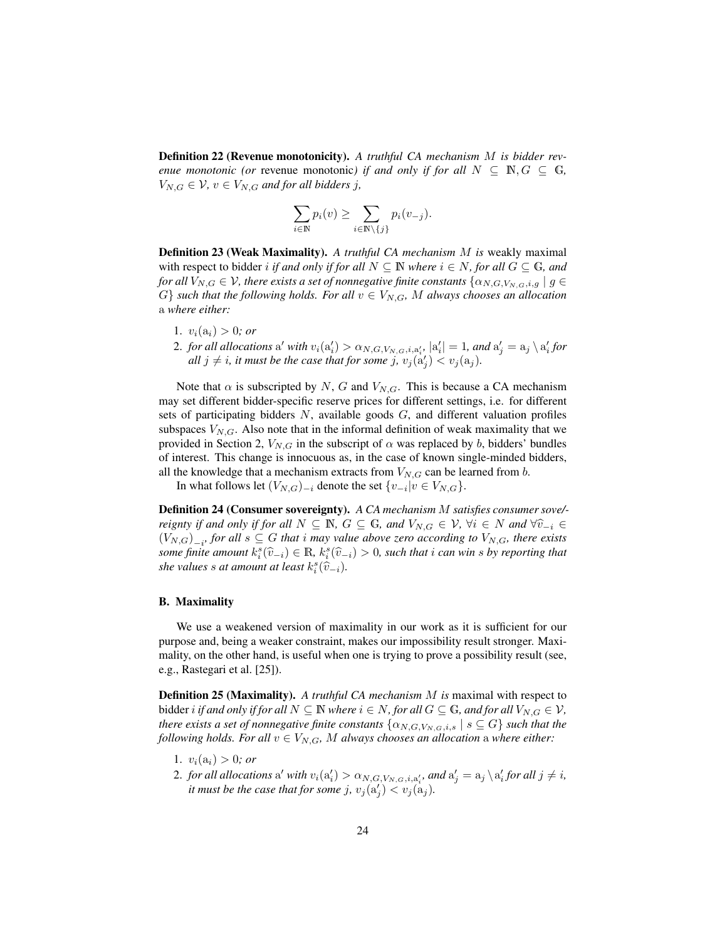Definition 22 (Revenue monotonicity). *A truthful CA mechanism* M *is bidder revenue monotonic (or revenue monotonic) if and only if for all*  $N \subseteq \mathbb{N}, G \subseteq \mathbb{G}$ ,  $V_{N,G} \in \mathcal{V}$ ,  $v \in V_{N,G}$  *and for all bidders j,* 

$$
\sum_{i \in \mathbb{N}} p_i(v) \ge \sum_{i \in \mathbb{N} \setminus \{j\}} p_i(v_{-j}).
$$

Definition 23 (Weak Maximality). *A truthful CA mechanism* M *is* weakly maximal with respect to bidder *i if and only if for all*  $N \subseteq \mathbb{N}$  *where*  $i \in N$ *, for all*  $G \subseteq \mathbb{G}$ *, and for all*  $V_{N,G}\in\mathcal{V}$ , there exists a set of nonnegative finite constants  $\{\alpha_{N,G,V_{N,G},i,g}\mid g\in\mathcal{V}$  $G$  *such that the following holds. For all*  $v \in V_{N,G}$ *, M always chooses an allocation* a *where either:*

- 1.  $v_i(a_i) > 0$ *; or*
- 2. *for all allocations* a' with  $v_i(a_i') > \alpha_{N,G,V_{N,G},i,a_i'}, |a_i'| = 1$ , and  $a_j' = a_j \setminus a_i'$  for *all*  $j \neq i$ , it must be the case that for some  $j$ ,  $v_j(a'_j) < v_j(a_j)$ .

Note that  $\alpha$  is subscripted by N, G and  $V_{N,G}$ . This is because a CA mechanism may set different bidder-specific reserve prices for different settings, i.e. for different sets of participating bidders  $N$ , available goods  $G$ , and different valuation profiles subspaces  $V_{N,G}$ . Also note that in the informal definition of weak maximality that we provided in Section 2,  $V_{N,G}$  in the subscript of  $\alpha$  was replaced by b, bidders' bundles of interest. This change is innocuous as, in the case of known single-minded bidders, all the knowledge that a mechanism extracts from  $V_{N,G}$  can be learned from b.

In what follows let  $(V_{N,G})_{-i}$  denote the set  $\{v_{-i}|v \in V_{N,G}\}.$ 

Definition 24 (Consumer sovereignty). *A CA mechanism* M *satisfies consumer sove/ reignty if and only if for all*  $N \subseteq \mathbb{N}$ ,  $G \subseteq \mathbb{G}$ , and  $V_{N,G} \in \mathcal{V}$ ,  $\forall i \in N$  and  $\forall \hat{v}_{-i} \in$  $(V_{N,G})$ <sub>-i</sub>, for all  $s \subseteq G$  that i may value above zero according to  $V_{N,G}$ , there exists some finite amount  $k_5^s(\hat{v}_{-i}) \in \mathbb{R}$ ,  $k_5^s(\hat{v}_{-i}) > 0$ , such that i can win s by reporting that she values  $\varepsilon$  at amount at least  $k_5(\hat{v}_{-i}) > 0$ , such that i can win s by reporting that she values *s* at amount at least  $k_i^s(\hat{v}_{-i})$ .

# B. Maximality

We use a weakened version of maximality in our work as it is sufficient for our purpose and, being a weaker constraint, makes our impossibility result stronger. Maximality, on the other hand, is useful when one is trying to prove a possibility result (see, e.g., Rastegari et al. [25]).

Definition 25 (Maximality). *A truthful CA mechanism* M *is* maximal with respect to bidder *i* if and only if for all  $N \subseteq \mathbb{N}$  where  $i \in N$ , for all  $G \subseteq \mathbb{G}$ , and for all  $V_{N,G} \in V$ , *there exists a set of nonnegative finite constants*  $\{\alpha_{N,G,V_{N,G},i,s} \mid s \subseteq G\}$  *such that the following holds. For all*  $v \in V_{N,G}$ , M *always chooses an allocation* a *where either*:

- 1.  $v_i(a_i) > 0$ *; or*
- 2. *for all allocations* a' *with*  $v_i(a'_i) > \alpha_{N,G,V_{N,G},i,a'_i}$ , and  $a'_j = a_j \setminus a'_i$  for all  $j \neq i$ , *it must be the case that for some j,*  $v_j(a'_j) < v_j(a_j)$ .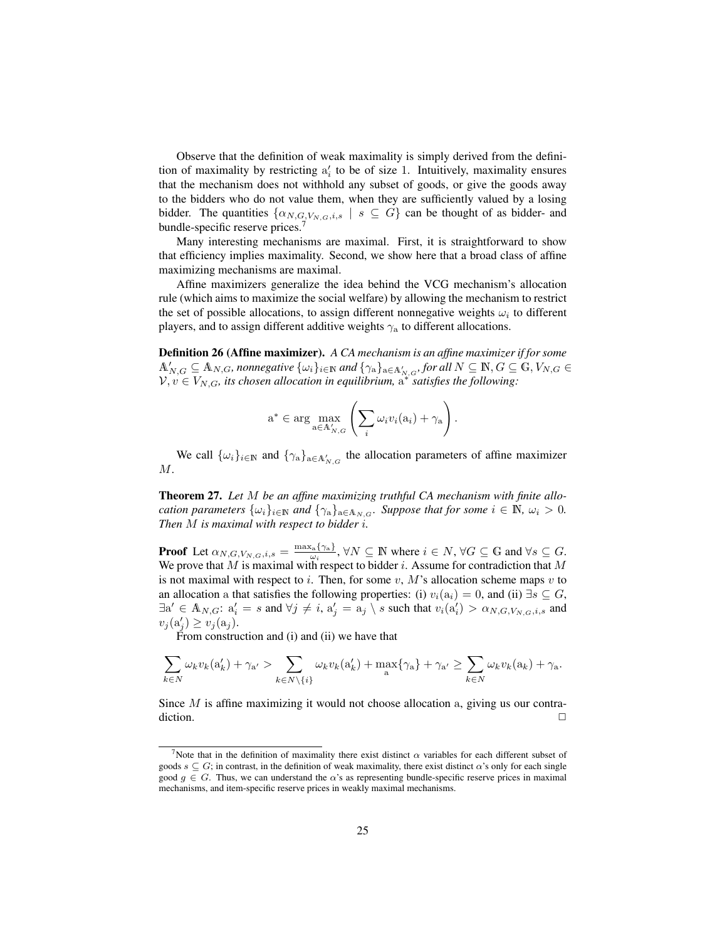Observe that the definition of weak maximality is simply derived from the definition of maximality by restricting  $a'_i$  to be of size 1. Intuitively, maximality ensures that the mechanism does not withhold any subset of goods, or give the goods away to the bidders who do not value them, when they are sufficiently valued by a losing bidder. The quantities  $\{\alpha_{N,G,V_{N,G},i,s} \mid s \subseteq G\}$  can be thought of as bidder- and bundle-specific reserve prices.<sup>7</sup>

Many interesting mechanisms are maximal. First, it is straightforward to show that efficiency implies maximality. Second, we show here that a broad class of affine maximizing mechanisms are maximal.

Affine maximizers generalize the idea behind the VCG mechanism's allocation rule (which aims to maximize the social welfare) by allowing the mechanism to restrict the set of possible allocations, to assign different nonnegative weights  $\omega_i$  to different players, and to assign different additive weights  $\gamma$ <sub>a</sub> to different allocations.

Definition 26 (Affine maximizer). *A CA mechanism is an affine maximizer if for some*  $\mathbb{A}_{N,G}' \subseteq \mathbb{A}_{N,G}$ , nonnegative  $\{\omega_i\}_{i \in \mathbb{N}}$  and  $\{\gamma_{\rm a}\}_{{\rm a} \in \mathbb{A}_{N,G}'}$ , for all  $N \subseteq \mathbb{N}, G \subseteq \mathbb{G}, V_{N,G} \in$  $V, v \in V_{N,G}$ , its chosen allocation in equilibrium,  $a^*$  satisfies the following:

$$
a^* \in \arg \max_{a \in A'_{N,G}} \left( \sum_i \omega_i v_i(a_i) + \gamma_a \right).
$$

We call  $\{\omega_i\}_{i\in\mathbb{N}}$  and  $\{\gamma_{\alpha}\}_{{\alpha}\in{\mathbb{A}_{N,G}^{\prime}}}$  the allocation parameters of affine maximizer M.

Theorem 27. *Let* M *be an affine maximizing truthful CA mechanism with finite allocation parameters*  $\{\omega_i\}_{i\in\mathbb{N}}$  *and*  $\{\gamma_a\}_{a\in A_{N,G}}$ *. Suppose that for some*  $i \in \mathbb{N}$ *,*  $\omega_i > 0$ *. Then* M *is maximal with respect to bidder* i*.*

**Proof** Let  $\alpha_{N,G,V_{N,G},i,s} = \frac{\max_a \{\gamma_a\}}{\omega_i}$  $\frac{\mathfrak{c}_{\mathbf{a}}\{\gamma_{\mathbf{a}}\}}{\omega_i}$ ,  $\forall N \subseteq \mathbb{N}$  where  $i \in N$ ,  $\forall G \subseteq \mathbb{G}$  and  $\forall s \subseteq G$ . We prove that M is maximal with respect to bidder i. Assume for contradiction that M is not maximal with respect to i. Then, for some v, M's allocation scheme maps v to an allocation a that satisfies the following properties: (i)  $v_i(a_i) = 0$ , and (ii)  $\exists s \subseteq G$ ,  $\exists a' \in A_{N,G}: a'_i = s \text{ and } \forall j \neq i, a'_j = a_j \setminus s \text{ such that } v_i(a'_i) > \alpha_{N,G,V_{N,G},i,s} \text{ and }$  $v_j(\mathbf{a}'_j) \ge v_j(\mathbf{a}_j).$ 

From construction and (i) and (ii) we have that

$$
\sum_{k\in N} \omega_k v_k(a'_k) + \gamma_{a'} > \sum_{k\in N\setminus\{i\}} \omega_k v_k(a'_k) + \max_a \{\gamma_a\} + \gamma_{a'} \ge \sum_{k\in N} \omega_k v_k(a_k) + \gamma_{a'}.
$$

Since M is affine maximizing it would not choose allocation a, giving us our contra- $\Box$ 

<sup>&</sup>lt;sup>7</sup>Note that in the definition of maximality there exist distinct  $\alpha$  variables for each different subset of goods  $s \subseteq G$ ; in contrast, in the definition of weak maximality, there exist distinct  $\alpha$ 's only for each single good  $g \in G$ . Thus, we can understand the  $\alpha$ 's as representing bundle-specific reserve prices in maximal mechanisms, and item-specific reserve prices in weakly maximal mechanisms.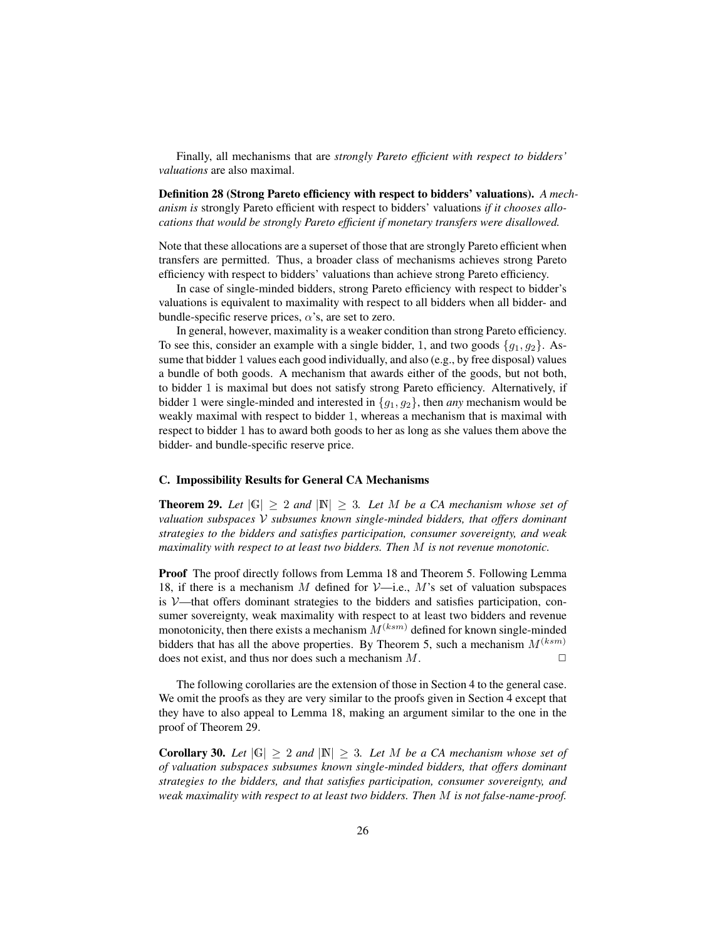Finally, all mechanisms that are *strongly Pareto efficient with respect to bidders' valuations* are also maximal.

Definition 28 (Strong Pareto efficiency with respect to bidders' valuations). *A mechanism is* strongly Pareto efficient with respect to bidders' valuations *if it chooses allocations that would be strongly Pareto efficient if monetary transfers were disallowed.*

Note that these allocations are a superset of those that are strongly Pareto efficient when transfers are permitted. Thus, a broader class of mechanisms achieves strong Pareto efficiency with respect to bidders' valuations than achieve strong Pareto efficiency.

In case of single-minded bidders, strong Pareto efficiency with respect to bidder's valuations is equivalent to maximality with respect to all bidders when all bidder- and bundle-specific reserve prices,  $\alpha$ 's, are set to zero.

In general, however, maximality is a weaker condition than strong Pareto efficiency. To see this, consider an example with a single bidder, 1, and two goods  $\{g_1, g_2\}$ . Assume that bidder 1 values each good individually, and also (e.g., by free disposal) values a bundle of both goods. A mechanism that awards either of the goods, but not both, to bidder 1 is maximal but does not satisfy strong Pareto efficiency. Alternatively, if bidder 1 were single-minded and interested in {g1, g2}, then *any* mechanism would be weakly maximal with respect to bidder 1, whereas a mechanism that is maximal with respect to bidder 1 has to award both goods to her as long as she values them above the bidder- and bundle-specific reserve price.

## C. Impossibility Results for General CA Mechanisms

**Theorem 29.** Let  $|G| > 2$  and  $|N| > 3$ . Let M be a CA mechanism whose set of *valuation subspaces* V *subsumes known single-minded bidders, that offers dominant strategies to the bidders and satisfies participation, consumer sovereignty, and weak maximality with respect to at least two bidders. Then* M *is not revenue monotonic.*

Proof The proof directly follows from Lemma 18 and Theorem 5. Following Lemma 18, if there is a mechanism M defined for  $\mathcal{V}$ -i.e., M's set of valuation subspaces is  $V$ —that offers dominant strategies to the bidders and satisfies participation, consumer sovereignty, weak maximality with respect to at least two bidders and revenue monotonicity, then there exists a mechanism  $M^{(ksm)}$  defined for known single-minded bidders that has all the above properties. By Theorem 5, such a mechanism  $M^{(ksm)}$ does not exist, and thus nor does such a mechanism  $M$ .

The following corollaries are the extension of those in Section 4 to the general case. We omit the proofs as they are very similar to the proofs given in Section 4 except that they have to also appeal to Lemma 18, making an argument similar to the one in the proof of Theorem 29.

**Corollary 30.** Let  $|G| > 2$  and  $|N| > 3$ . Let M be a CA mechanism whose set of *of valuation subspaces subsumes known single-minded bidders, that offers dominant strategies to the bidders, and that satisfies participation, consumer sovereignty, and weak maximality with respect to at least two bidders. Then* M *is not false-name-proof.*